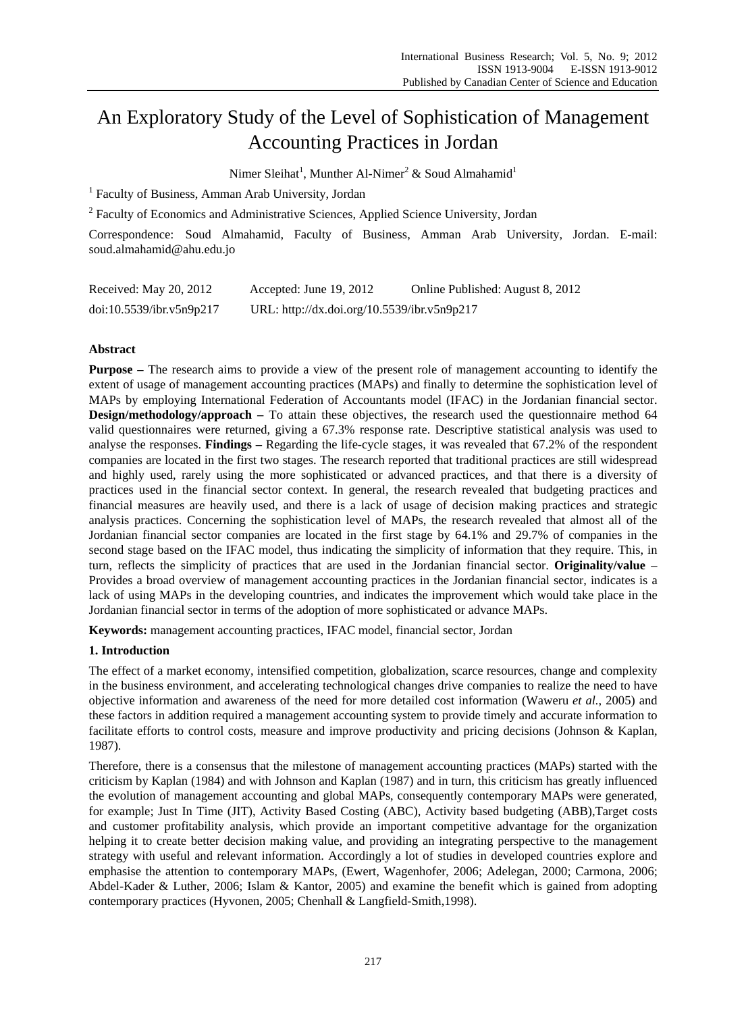# An Exploratory Study of the Level of Sophistication of Management Accounting Practices in Jordan

Nimer Sleihat<sup>1</sup>, Munther Al-Nimer<sup>2</sup> & Soud Almahamid<sup>1</sup>

<sup>1</sup> Faculty of Business, Amman Arab University, Jordan

 $2^2$  Faculty of Economics and Administrative Sciences, Applied Science University, Jordan

Correspondence: Soud Almahamid, Faculty of Business, Amman Arab University, Jordan. E-mail: soud.almahamid@ahu.edu.jo

| Received: May 20, 2012   | Accepted: June 19, 2012                     | Online Published: August 8, 2012 |
|--------------------------|---------------------------------------------|----------------------------------|
| doi:10.5539/ibr.v5n9p217 | URL: http://dx.doi.org/10.5539/ibr.v5n9p217 |                                  |

# **Abstract**

**Purpose** – The research aims to provide a view of the present role of management accounting to identify the extent of usage of management accounting practices (MAPs) and finally to determine the sophistication level of MAPs by employing International Federation of Accountants model (IFAC) in the Jordanian financial sector. **Design/methodology/approach – To attain these objectives, the research used the questionnaire method 64** valid questionnaires were returned, giving a 67.3% response rate. Descriptive statistical analysis was used to analyse the responses. **Findings –** Regarding the life-cycle stages, it was revealed that 67.2% of the respondent companies are located in the first two stages. The research reported that traditional practices are still widespread and highly used, rarely using the more sophisticated or advanced practices, and that there is a diversity of practices used in the financial sector context. In general, the research revealed that budgeting practices and financial measures are heavily used, and there is a lack of usage of decision making practices and strategic analysis practices. Concerning the sophistication level of MAPs, the research revealed that almost all of the Jordanian financial sector companies are located in the first stage by 64.1% and 29.7% of companies in the second stage based on the IFAC model, thus indicating the simplicity of information that they require. This, in turn, reflects the simplicity of practices that are used in the Jordanian financial sector. **Originality/value** – Provides a broad overview of management accounting practices in the Jordanian financial sector, indicates is a lack of using MAPs in the developing countries, and indicates the improvement which would take place in the Jordanian financial sector in terms of the adoption of more sophisticated or advance MAPs.

**Keywords:** management accounting practices, IFAC model, financial sector, Jordan

# **1. Introduction**

The effect of a market economy, intensified competition, globalization, scarce resources, change and complexity in the business environment, and accelerating technological changes drive companies to realize the need to have objective information and awareness of the need for more detailed cost information (Waweru *et al.*, 2005) and these factors in addition required a management accounting system to provide timely and accurate information to facilitate efforts to control costs, measure and improve productivity and pricing decisions (Johnson & Kaplan, 1987).

Therefore, there is a consensus that the milestone of management accounting practices (MAPs) started with the criticism by Kaplan (1984) and with Johnson and Kaplan (1987) and in turn, this criticism has greatly influenced the evolution of management accounting and global MAPs, consequently contemporary MAPs were generated, for example; Just In Time (JIT), Activity Based Costing (ABC), Activity based budgeting (ABB),Target costs and customer profitability analysis, which provide an important competitive advantage for the organization helping it to create better decision making value, and providing an integrating perspective to the management strategy with useful and relevant information. Accordingly a lot of studies in developed countries explore and emphasise the attention to contemporary MAPs, (Ewert, Wagenhofer, 2006; Adelegan, 2000; Carmona, 2006; Abdel-Kader & Luther, 2006; Islam & Kantor, 2005) and examine the benefit which is gained from adopting contemporary practices (Hyvonen, 2005; Chenhall & Langfield-Smith,1998).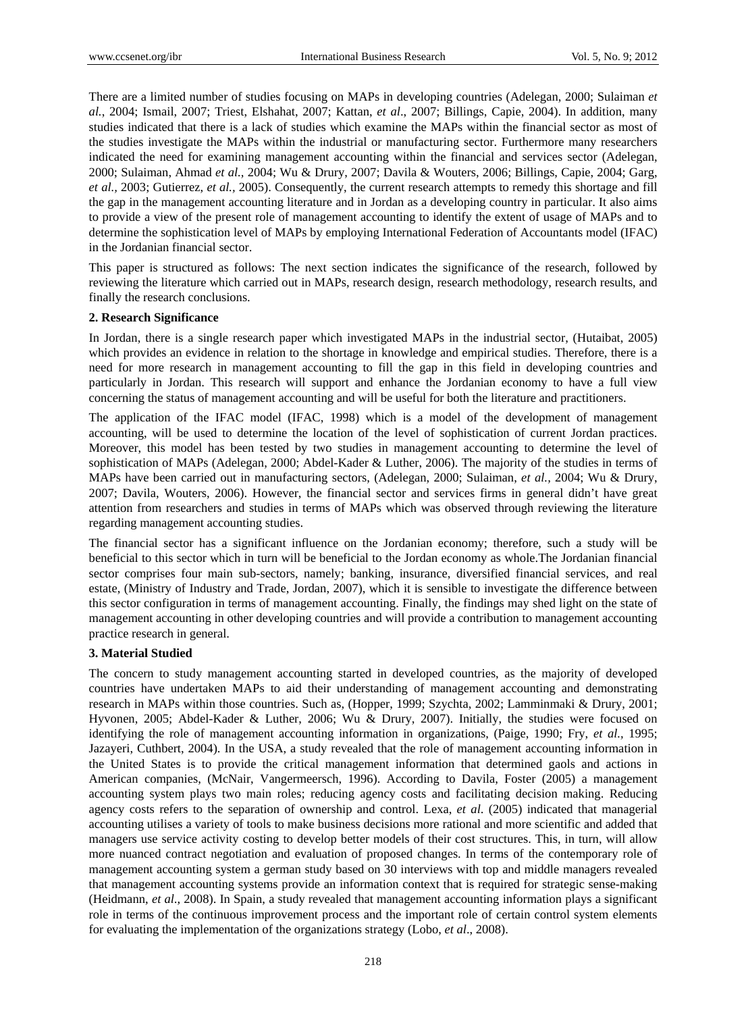There are a limited number of studies focusing on MAPs in developing countries (Adelegan, 2000; Sulaiman *et al.*, 2004; Ismail, 2007; Triest, Elshahat, 2007; Kattan, *et al*., 2007; Billings, Capie, 2004). In addition, many studies indicated that there is a lack of studies which examine the MAPs within the financial sector as most of the studies investigate the MAPs within the industrial or manufacturing sector. Furthermore many researchers indicated the need for examining management accounting within the financial and services sector (Adelegan, 2000; Sulaiman, Ahmad *et al.,* 2004; Wu & Drury, 2007; Davila & Wouters, 2006; Billings, Capie, 2004; Garg, *et al.,* 2003; Gutierrez, *et al.,* 2005). Consequently, the current research attempts to remedy this shortage and fill the gap in the management accounting literature and in Jordan as a developing country in particular. It also aims to provide a view of the present role of management accounting to identify the extent of usage of MAPs and to determine the sophistication level of MAPs by employing International Federation of Accountants model (IFAC) in the Jordanian financial sector.

This paper is structured as follows: The next section indicates the significance of the research, followed by reviewing the literature which carried out in MAPs, research design, research methodology, research results, and finally the research conclusions.

# **2. Research Significance**

In Jordan, there is a single research paper which investigated MAPs in the industrial sector, (Hutaibat, 2005) which provides an evidence in relation to the shortage in knowledge and empirical studies. Therefore, there is a need for more research in management accounting to fill the gap in this field in developing countries and particularly in Jordan. This research will support and enhance the Jordanian economy to have a full view concerning the status of management accounting and will be useful for both the literature and practitioners.

The application of the IFAC model (IFAC, 1998) which is a model of the development of management accounting, will be used to determine the location of the level of sophistication of current Jordan practices. Moreover, this model has been tested by two studies in management accounting to determine the level of sophistication of MAPs (Adelegan, 2000; Abdel-Kader & Luther, 2006). The majority of the studies in terms of MAPs have been carried out in manufacturing sectors, (Adelegan, 2000; Sulaiman, *et al.,* 2004; Wu & Drury, 2007; Davila, Wouters, 2006). However, the financial sector and services firms in general didn't have great attention from researchers and studies in terms of MAPs which was observed through reviewing the literature regarding management accounting studies.

The financial sector has a significant influence on the Jordanian economy; therefore, such a study will be beneficial to this sector which in turn will be beneficial to the Jordan economy as whole.The Jordanian financial sector comprises four main sub-sectors, namely; banking, insurance, diversified financial services, and real estate, (Ministry of Industry and Trade, Jordan, 2007), which it is sensible to investigate the difference between this sector configuration in terms of management accounting. Finally, the findings may shed light on the state of management accounting in other developing countries and will provide a contribution to management accounting practice research in general.

# **3. Material Studied**

The concern to study management accounting started in developed countries, as the majority of developed countries have undertaken MAPs to aid their understanding of management accounting and demonstrating research in MAPs within those countries. Such as, (Hopper, 1999; Szychta, 2002; Lamminmaki & Drury, 2001; Hyvonen, 2005; Abdel-Kader & Luther, 2006; Wu & Drury, 2007). Initially, the studies were focused on identifying the role of management accounting information in organizations, (Paige, 1990; Fry, *et al.,* 1995; Jazayeri, Cuthbert, 2004). In the USA, a study revealed that the role of management accounting information in the United States is to provide the critical management information that determined gaols and actions in American companies, (McNair, Vangermeersch, 1996). According to Davila, Foster (2005) a management accounting system plays two main roles; reducing agency costs and facilitating decision making. Reducing agency costs refers to the separation of ownership and control. Lexa, *et al*. (2005) indicated that managerial accounting utilises a variety of tools to make business decisions more rational and more scientific and added that managers use service activity costing to develop better models of their cost structures. This, in turn, will allow more nuanced contract negotiation and evaluation of proposed changes. In terms of the contemporary role of management accounting system a german study based on 30 interviews with top and middle managers revealed that management accounting systems provide an information context that is required for strategic sense-making (Heidmann, *et al*., 2008). In Spain, a study revealed that management accounting information plays a significant role in terms of the continuous improvement process and the important role of certain control system elements for evaluating the implementation of the organizations strategy (Lobo, *et al*., 2008).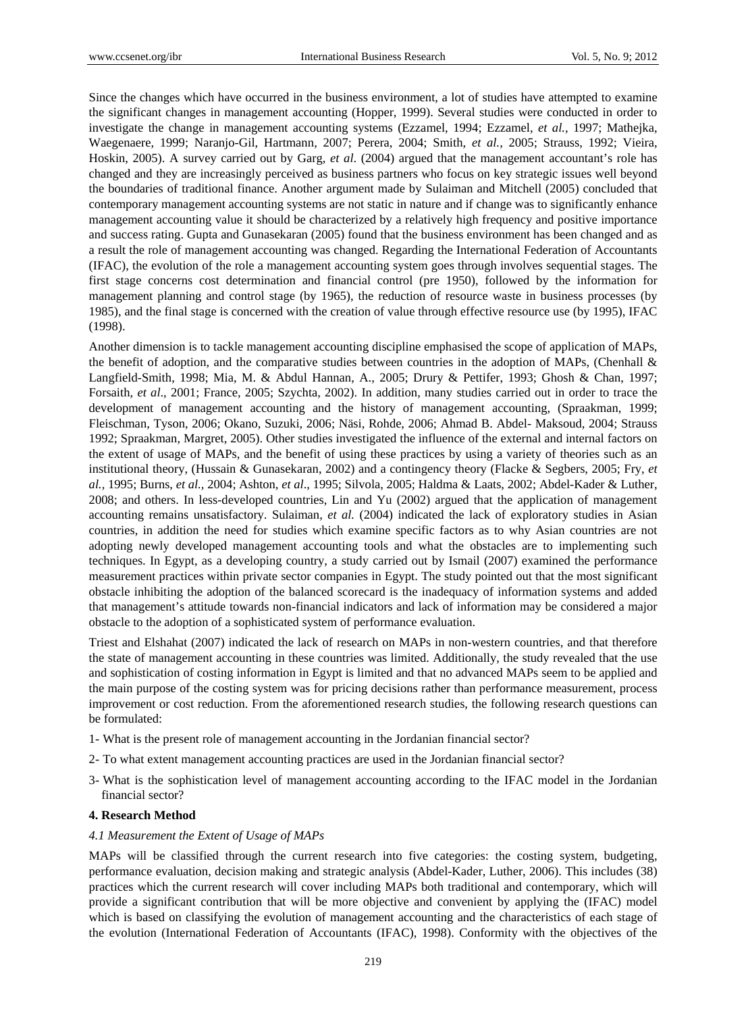Since the changes which have occurred in the business environment, a lot of studies have attempted to examine the significant changes in management accounting (Hopper, 1999). Several studies were conducted in order to investigate the change in management accounting systems (Ezzamel, 1994; Ezzamel, *et al.,* 1997; Mathejka, Waegenaere, 1999; Naranjo-Gil, Hartmann, 2007; Perera, 2004; Smith, *et al.,* 2005; Strauss, 1992; Vieira, Hoskin, 2005). A survey carried out by Garg, *et al*. (2004) argued that the management accountant's role has changed and they are increasingly perceived as business partners who focus on key strategic issues well beyond the boundaries of traditional finance. Another argument made by Sulaiman and Mitchell (2005) concluded that contemporary management accounting systems are not static in nature and if change was to significantly enhance management accounting value it should be characterized by a relatively high frequency and positive importance and success rating. Gupta and Gunasekaran (2005) found that the business environment has been changed and as a result the role of management accounting was changed. Regarding the International Federation of Accountants (IFAC), the evolution of the role a management accounting system goes through involves sequential stages. The first stage concerns cost determination and financial control (pre 1950), followed by the information for management planning and control stage (by 1965), the reduction of resource waste in business processes (by 1985), and the final stage is concerned with the creation of value through effective resource use (by 1995), IFAC (1998).

Another dimension is to tackle management accounting discipline emphasised the scope of application of MAPs, the benefit of adoption, and the comparative studies between countries in the adoption of MAPs, (Chenhall & Langfield-Smith, 1998; Mia, M. & Abdul Hannan, A., 2005; Drury & Pettifer, 1993; Ghosh & Chan, 1997; Forsaith, *et al*., 2001; France, 2005; Szychta, 2002). In addition, many studies carried out in order to trace the development of management accounting and the history of management accounting, (Spraakman, 1999; Fleischman, Tyson, 2006; Okano, Suzuki, 2006; Näsi, Rohde, 2006; Ahmad B. Abdel- Maksoud, 2004; Strauss 1992; Spraakman, Margret, 2005). Other studies investigated the influence of the external and internal factors on the extent of usage of MAPs, and the benefit of using these practices by using a variety of theories such as an institutional theory, (Hussain & Gunasekaran, 2002) and a contingency theory (Flacke & Segbers, 2005; Fry, *et al.,* 1995; Burns, *et al.,* 2004; Ashton, *et al*., 1995; Silvola, 2005; Haldma & Laats, 2002; Abdel-Kader & Luther, 2008; and others. In less-developed countries, Lin and Yu (2002) argued that the application of management accounting remains unsatisfactory. Sulaiman, *et al.* (2004) indicated the lack of exploratory studies in Asian countries, in addition the need for studies which examine specific factors as to why Asian countries are not adopting newly developed management accounting tools and what the obstacles are to implementing such techniques. In Egypt, as a developing country, a study carried out by Ismail (2007) examined the performance measurement practices within private sector companies in Egypt. The study pointed out that the most significant obstacle inhibiting the adoption of the balanced scorecard is the inadequacy of information systems and added that management's attitude towards non-financial indicators and lack of information may be considered a major obstacle to the adoption of a sophisticated system of performance evaluation.

Triest and Elshahat (2007) indicated the lack of research on MAPs in non-western countries, and that therefore the state of management accounting in these countries was limited. Additionally, the study revealed that the use and sophistication of costing information in Egypt is limited and that no advanced MAPs seem to be applied and the main purpose of the costing system was for pricing decisions rather than performance measurement, process improvement or cost reduction. From the aforementioned research studies, the following research questions can be formulated:

- 1- What is the present role of management accounting in the Jordanian financial sector?
- 2- To what extent management accounting practices are used in the Jordanian financial sector?
- 3- What is the sophistication level of management accounting according to the IFAC model in the Jordanian financial sector?

## **4. Research Method**

#### *4.1 Measurement the Extent of Usage of MAPs*

MAPs will be classified through the current research into five categories: the costing system, budgeting, performance evaluation, decision making and strategic analysis (Abdel-Kader, Luther, 2006). This includes (38) practices which the current research will cover including MAPs both traditional and contemporary, which will provide a significant contribution that will be more objective and convenient by applying the (IFAC) model which is based on classifying the evolution of management accounting and the characteristics of each stage of the evolution (International Federation of Accountants (IFAC), 1998). Conformity with the objectives of the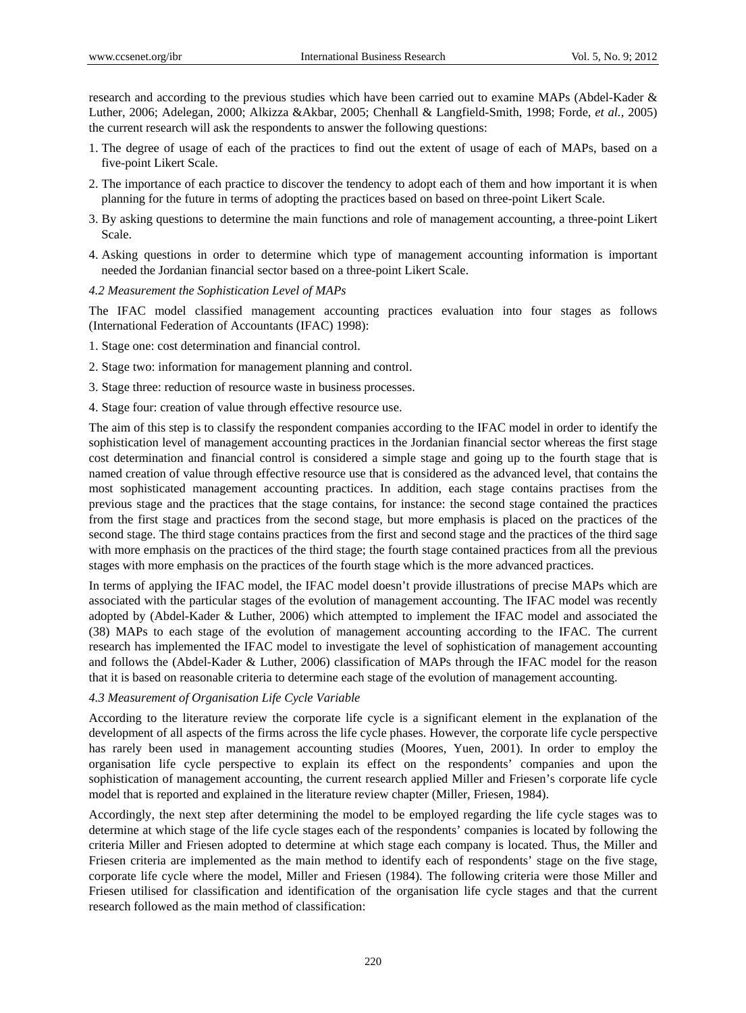research and according to the previous studies which have been carried out to examine MAPs (Abdel-Kader & Luther, 2006; Adelegan, 2000; Alkizza &Akbar, 2005; Chenhall & Langfield-Smith, 1998; Forde, *et al.,* 2005) the current research will ask the respondents to answer the following questions:

- 1. The degree of usage of each of the practices to find out the extent of usage of each of MAPs, based on a five-point Likert Scale.
- 2. The importance of each practice to discover the tendency to adopt each of them and how important it is when planning for the future in terms of adopting the practices based on based on three-point Likert Scale.
- 3. By asking questions to determine the main functions and role of management accounting, a three-point Likert Scale.
- 4. Asking questions in order to determine which type of management accounting information is important needed the Jordanian financial sector based on a three-point Likert Scale.

## *4.2 Measurement the Sophistication Level of MAPs*

The IFAC model classified management accounting practices evaluation into four stages as follows (International Federation of Accountants (IFAC) 1998):

1. Stage one: cost determination and financial control.

- 2. Stage two: information for management planning and control.
- 3. Stage three: reduction of resource waste in business processes.
- 4. Stage four: creation of value through effective resource use.

The aim of this step is to classify the respondent companies according to the IFAC model in order to identify the sophistication level of management accounting practices in the Jordanian financial sector whereas the first stage cost determination and financial control is considered a simple stage and going up to the fourth stage that is named creation of value through effective resource use that is considered as the advanced level, that contains the most sophisticated management accounting practices. In addition, each stage contains practises from the previous stage and the practices that the stage contains, for instance: the second stage contained the practices from the first stage and practices from the second stage, but more emphasis is placed on the practices of the second stage. The third stage contains practices from the first and second stage and the practices of the third sage with more emphasis on the practices of the third stage; the fourth stage contained practices from all the previous stages with more emphasis on the practices of the fourth stage which is the more advanced practices.

In terms of applying the IFAC model, the IFAC model doesn't provide illustrations of precise MAPs which are associated with the particular stages of the evolution of management accounting. The IFAC model was recently adopted by (Abdel-Kader & Luther, 2006) which attempted to implement the IFAC model and associated the (38) MAPs to each stage of the evolution of management accounting according to the IFAC. The current research has implemented the IFAC model to investigate the level of sophistication of management accounting and follows the (Abdel-Kader & Luther, 2006) classification of MAPs through the IFAC model for the reason that it is based on reasonable criteria to determine each stage of the evolution of management accounting.

#### *4.3 Measurement of Organisation Life Cycle Variable*

According to the literature review the corporate life cycle is a significant element in the explanation of the development of all aspects of the firms across the life cycle phases. However, the corporate life cycle perspective has rarely been used in management accounting studies (Moores, Yuen, 2001). In order to employ the organisation life cycle perspective to explain its effect on the respondents' companies and upon the sophistication of management accounting, the current research applied Miller and Friesen's corporate life cycle model that is reported and explained in the literature review chapter (Miller, Friesen, 1984).

Accordingly, the next step after determining the model to be employed regarding the life cycle stages was to determine at which stage of the life cycle stages each of the respondents' companies is located by following the criteria Miller and Friesen adopted to determine at which stage each company is located. Thus, the Miller and Friesen criteria are implemented as the main method to identify each of respondents' stage on the five stage, corporate life cycle where the model, Miller and Friesen (1984). The following criteria were those Miller and Friesen utilised for classification and identification of the organisation life cycle stages and that the current research followed as the main method of classification: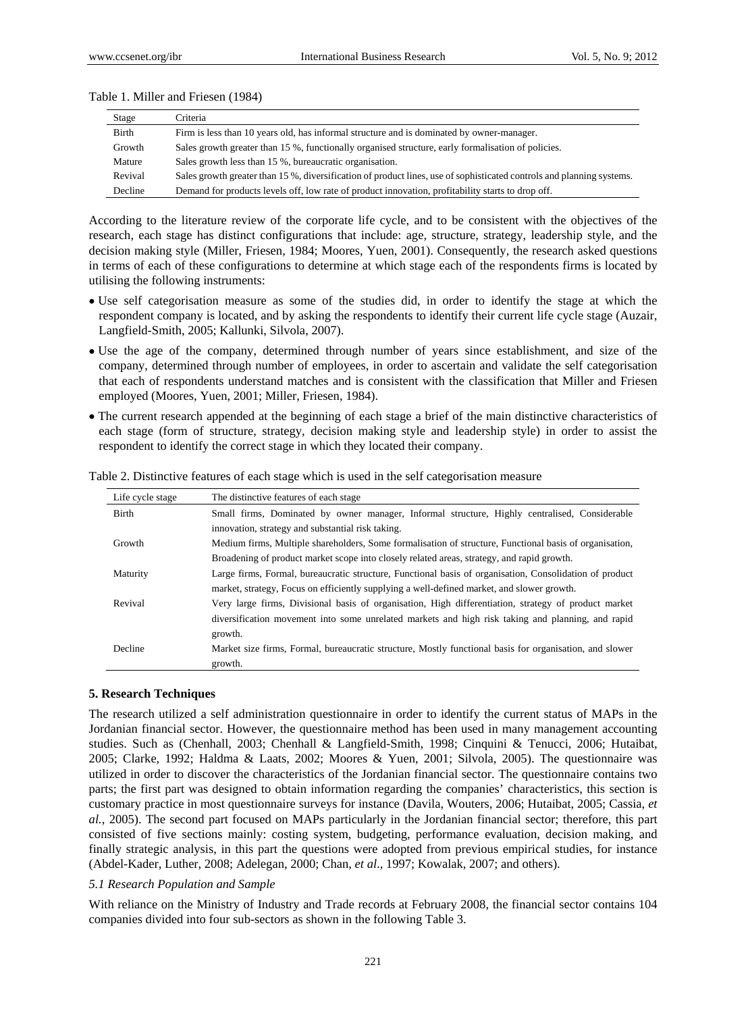| Stage   | Criteria                                                                                                              |
|---------|-----------------------------------------------------------------------------------------------------------------------|
| Birth   | Firm is less than 10 years old, has informal structure and is dominated by owner-manager.                             |
| Growth  | Sales growth greater than 15 %, functionally organised structure, early formalisation of policies.                    |
| Mature  | Sales growth less than 15 %, bureaucratic organisation.                                                               |
| Revival | Sales growth greater than 15 %, diversification of product lines, use of sophisticated controls and planning systems. |
| Decline | Demand for products levels off, low rate of product innovation, profitability starts to drop off.                     |

#### Table 1. Miller and Friesen (1984)

According to the literature review of the corporate life cycle, and to be consistent with the objectives of the research, each stage has distinct configurations that include: age, structure, strategy, leadership style, and the decision making style (Miller, Friesen, 1984; Moores, Yuen, 2001). Consequently, the research asked questions in terms of each of these configurations to determine at which stage each of the respondents firms is located by utilising the following instruments:

- Use self categorisation measure as some of the studies did, in order to identify the stage at which the respondent company is located, and by asking the respondents to identify their current life cycle stage (Auzair, Langfield-Smith, 2005; Kallunki, Silvola, 2007).
- Use the age of the company, determined through number of years since establishment, and size of the company, determined through number of employees, in order to ascertain and validate the self categorisation that each of respondents understand matches and is consistent with the classification that Miller and Friesen employed (Moores, Yuen, 2001; Miller, Friesen, 1984).
- The current research appended at the beginning of each stage a brief of the main distinctive characteristics of each stage (form of structure, strategy, decision making style and leadership style) in order to assist the respondent to identify the correct stage in which they located their company.

| Life cycle stage | The distinctive features of each stage.                                                                 |
|------------------|---------------------------------------------------------------------------------------------------------|
| <b>Birth</b>     | Small firms, Dominated by owner manager, Informal structure, Highly centralised, Considerable           |
|                  | innovation, strategy and substantial risk taking.                                                       |
| Growth           | Medium firms, Multiple shareholders, Some formalisation of structure, Functional basis of organisation, |
|                  | Broadening of product market scope into closely related areas, strategy, and rapid growth.              |
| Maturity         | Large firms, Formal, bureaucratic structure, Functional basis of organisation, Consolidation of product |
|                  | market, strategy, Focus on efficiently supplying a well-defined market, and slower growth.              |
| Revival          | Very large firms, Divisional basis of organisation, High differentiation, strategy of product market    |
|                  | diversification movement into some unrelated markets and high risk taking and planning, and rapid       |
|                  | growth.                                                                                                 |
| Decline          | Market size firms, Formal, bureaucratic structure, Mostly functional basis for organisation, and slower |
|                  | growth.                                                                                                 |

Table 2. Distinctive features of each stage which is used in the self categorisation measure

## **5. Research Techniques**

The research utilized a self administration questionnaire in order to identify the current status of MAPs in the Jordanian financial sector. However, the questionnaire method has been used in many management accounting studies. Such as (Chenhall, 2003; Chenhall & Langfield-Smith, 1998; Cinquini & Tenucci, 2006; Hutaibat, 2005; Clarke, 1992; Haldma & Laats, 2002; Moores & Yuen, 2001; Silvola, 2005). The questionnaire was utilized in order to discover the characteristics of the Jordanian financial sector. The questionnaire contains two parts; the first part was designed to obtain information regarding the companies' characteristics, this section is customary practice in most questionnaire surveys for instance (Davila, Wouters, 2006; Hutaibat, 2005; Cassia, *et al.*, 2005). The second part focused on MAPs particularly in the Jordanian financial sector; therefore, this part consisted of five sections mainly: costing system, budgeting, performance evaluation, decision making, and finally strategic analysis, in this part the questions were adopted from previous empirical studies, for instance (Abdel-Kader, Luther, 2008; Adelegan, 2000; Chan, *et al*., 1997; Kowalak, 2007; and others).

#### *5.1 Research Population and Sample*

With reliance on the Ministry of Industry and Trade records at February 2008, the financial sector contains 104 companies divided into four sub-sectors as shown in the following Table 3.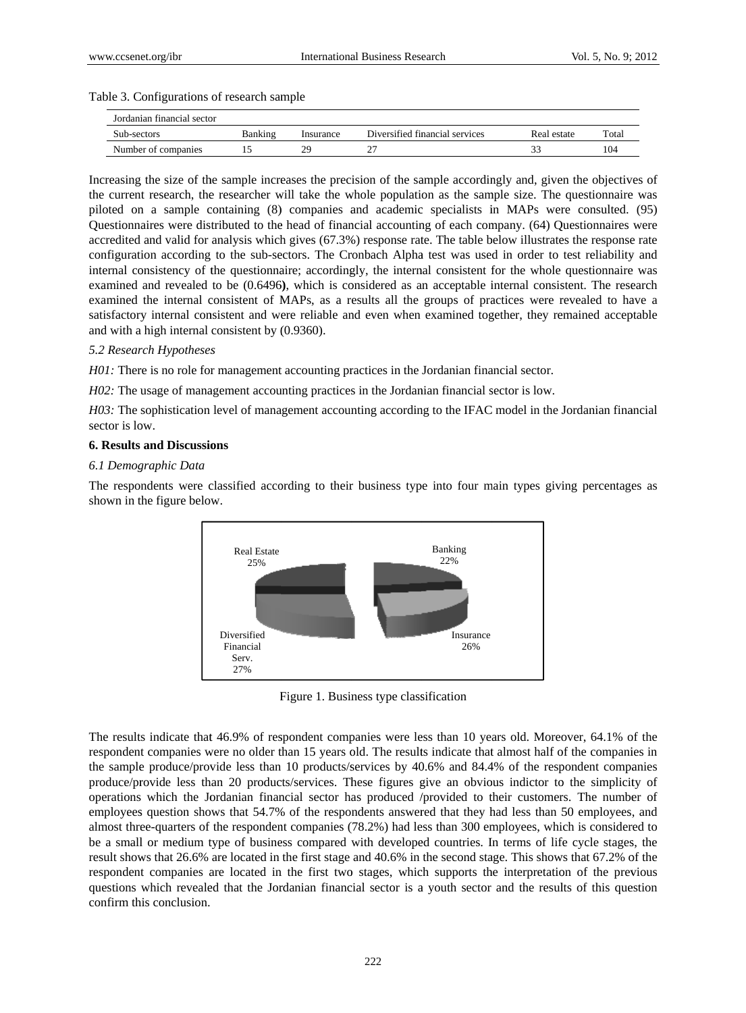## Table 3. Configurations of research sample

| Jordanian financial sector |         |           |                                |             |       |
|----------------------------|---------|-----------|--------------------------------|-------------|-------|
| Sub-sectors                | Banking | Insurance | Diversified financial services | Real estate | Total |
| Number of companies        |         | 29.       |                                |             | 104   |

Increasing the size of the sample increases the precision of the sample accordingly and, given the objectives of the current research, the researcher will take the whole population as the sample size. The questionnaire was piloted on a sample containing (8) companies and academic specialists in MAPs were consulted. (95) Questionnaires were distributed to the head of financial accounting of each company. (64) Questionnaires were accredited and valid for analysis which gives (67.3%) response rate. The table below illustrates the response rate configuration according to the sub-sectors. The Cronbach Alpha test was used in order to test reliability and internal consistency of the questionnaire; accordingly, the internal consistent for the whole questionnaire was examined and revealed to be (0.6496), which is considered as an acceptable internal consistent. The research examined the internal consistent of MAPs, as a results all the groups of practices were revealed to have a satisfactory internal consistent and were reliable and even when examined together, they remained acceptable and with a high internal consistent by (0.9360).

## 5.2 Research Hypotheses

*H01*: There is no role for management accounting practices in the Jordanian financial sector.

H02: The usage of management accounting practices in the Jordanian financial sector is low.

H03: The sophistication level of management accounting according to the IFAC model in the Jordanian financial sector is low.

#### **6. Results and Discussions**

#### 6.1 Demographic Data

The respondents were classified according to their business type into four main types giving percentages as shown in the figure below.



Figure 1. Business type classification

The results indicate that 46.9% of respondent companies were less than 10 years old. Moreover, 64.1% of the respondent companies were no older than 15 years old. The results indicate that almost half of the companies in the sample produce/provide less than 10 products/services by 40.6% and 84.4% of the respondent companies produce/provide less than 20 products/services. These figures give an obvious indictor to the simplicity of operations which the Jordanian financial sector has produced /provided to their customers. The number of employees question shows that 54.7% of the respondents answered that they had less than 50 employees, and almost three-quarters of the respondent companies (78.2%) had less than 300 employees, which is considered to be a small or medium type of business compared with developed countries. In terms of life cycle stages, the result shows that 26.6% are located in the first stage and 40.6% in the second stage. This shows that 67.2% of the respondent companies are located in the first two stages, which supports the interpretation of the previous questions which revealed that the Jordanian financial sector is a youth sector and the results of this question confirm this conclusion.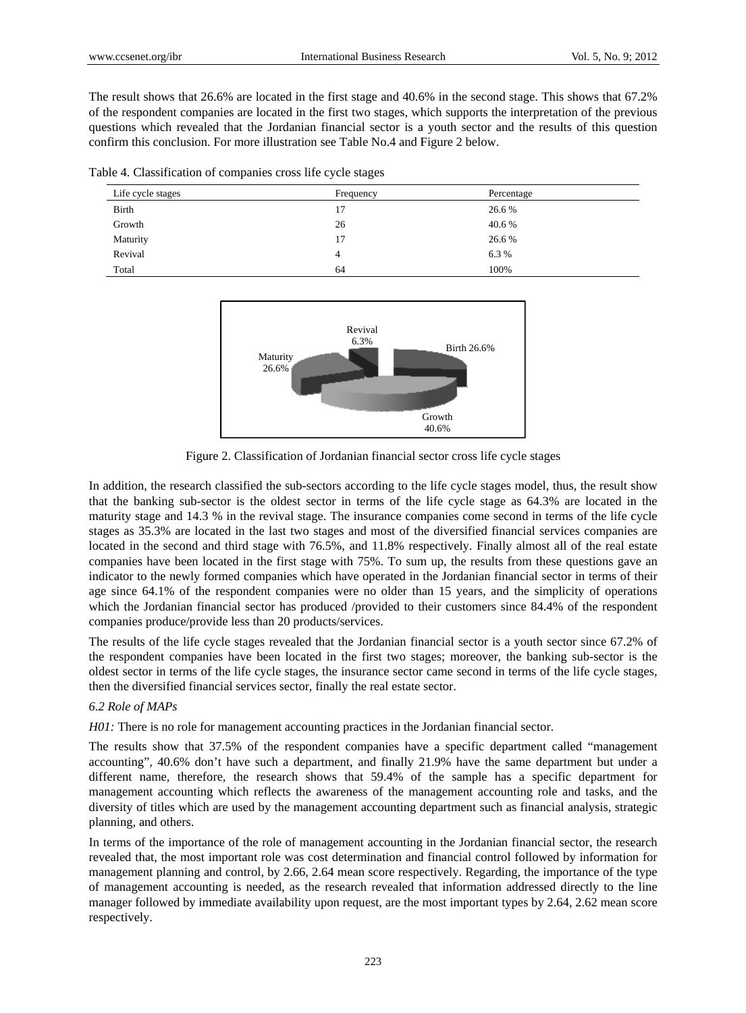The result shows that 26.6% are located in the first stage and 40.6% in the second stage. This shows that 67.2% of the respondent companies are located in the first two stages, which supports the interpretation of the previous questions which revealed that the Jordanian financial sector is a youth sector and the results of this question confirm this conclusion. For more illustration see Table No.4 and Figure 2 below.

| Table 4. Classification of companies cross life cycle stages |
|--------------------------------------------------------------|
|--------------------------------------------------------------|

| Life cycle stages | Frequency | Percentage |
|-------------------|-----------|------------|
| Birth             | 17        | 26.6 %     |
| Growth            | 26        | 40.6 %     |
| Maturity          | 17        | 26.6 %     |
| Revival           | 4         | 6.3%       |
| Total             | 64        | 100%       |



Figure 2. Classification of Jordanian financial sector cross life cycle stages

In addition, the research classified the sub-sectors according to the life cycle stages model, thus, the result show that the banking sub-sector is the oldest sector in terms of the life cycle stage as 64.3% are located in the maturity stage and 14.3 % in the revival stage. The insurance companies come second in terms of the life cycle stages as 35.3% are located in the last two stages and most of the diversified financial services companies are located in the second and third stage with 76.5%, and 11.8% respectively. Finally almost all of the real estate companies have been located in the first stage with 75%. To sum up, the results from these questions gave an indicator to the newly formed companies which have operated in the Jordanian financial sector in terms of their age since 64.1% of the respondent companies were no older than 15 years, and the simplicity of operations which the Jordanian financial sector has produced /provided to their customers since 84.4% of the respondent companies produce/provide less than 20 products/services.

The results of the life cycle stages revealed that the Jordanian financial sector is a youth sector since 67.2% of the respondent companies have been located in the first two stages; moreover, the banking sub-sector is the oldest sector in terms of the life cycle stages, the insurance sector came second in terms of the life cycle stages, then the diversified financial services sector, finally the real estate sector.

# 6.2 Role of MAPs

*H01*: There is no role for management accounting practices in the Jordanian financial sector.

The results show that 37.5% of the respondent companies have a specific department called "management" accounting", 40.6% don't have such a department, and finally 21.9% have the same department but under a different name, therefore, the research shows that 59.4% of the sample has a specific department for management accounting which reflects the awareness of the management accounting role and tasks, and the diversity of titles which are used by the management accounting department such as financial analysis, strategic planning, and others.

In terms of the importance of the role of management accounting in the Jordanian financial sector, the research revealed that, the most important role was cost determination and financial control followed by information for management planning and control, by 2.66, 2.64 mean score respectively. Regarding, the importance of the type of management accounting is needed, as the research revealed that information addressed directly to the line manager followed by immediate availability upon request, are the most important types by 2.64, 2.62 mean score respectively.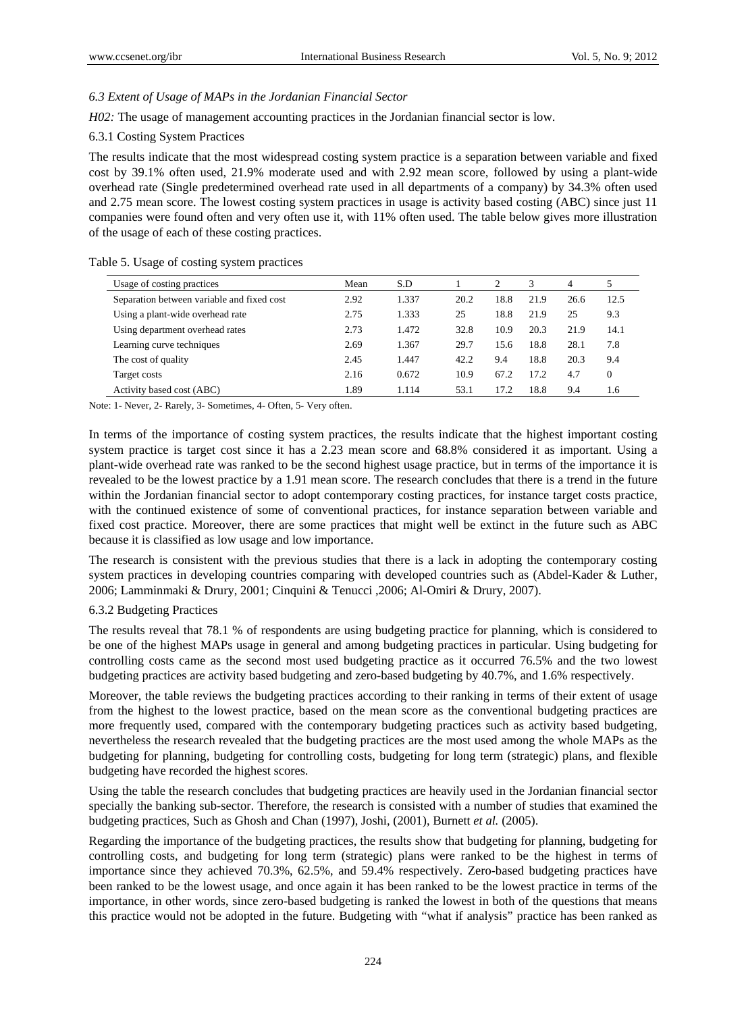# *6.3 Extent of Usage of MAPs in the Jordanian Financial Sector*

*H02*: The usage of management accounting practices in the Jordanian financial sector is low.

# 6.3.1 Costing System Practices

The results indicate that the most widespread costing system practice is a separation between variable and fixed cost by 39.1% often used, 21.9% moderate used and with 2.92 mean score, followed by using a plant-wide overhead rate (Single predetermined overhead rate used in all departments of a company) by 34.3% often used and 2.75 mean score. The lowest costing system practices in usage is activity based costing (ABC) since just 11 companies were found often and very often use it, with 11% often used. The table below gives more illustration of the usage of each of these costing practices.

| Usage of costing practices                 | Mean | S.D   |      | 2    | 3    | 4    |          |
|--------------------------------------------|------|-------|------|------|------|------|----------|
| Separation between variable and fixed cost | 2.92 | 1.337 | 20.2 | 18.8 | 21.9 | 26.6 | 12.5     |
| Using a plant-wide overhead rate           | 2.75 | 1.333 | 25   | 18.8 | 21.9 | 25   | 9.3      |
| Using department overhead rates            | 2.73 | 1.472 | 32.8 | 10.9 | 20.3 | 21.9 | 14.1     |
| Learning curve techniques                  | 2.69 | 1.367 | 29.7 | 15.6 | 18.8 | 28.1 | 7.8      |
| The cost of quality                        | 2.45 | 1.447 | 42.2 | 9.4  | 18.8 | 20.3 | 9.4      |
| Target costs                               | 2.16 | 0.672 | 10.9 | 67.2 | 17.2 | 4.7  | $\Omega$ |
| Activity based cost (ABC)                  | 1.89 | 1.114 | 53.1 | 17.2 | 18.8 | 9.4  | 1.6      |

Table 5. Usage of costing system practices

Note: 1- Never, 2- Rarely, 3- Sometimes, 4- Often, 5- Very often.

In terms of the importance of costing system practices, the results indicate that the highest important costing system practice is target cost since it has a 2.23 mean score and 68.8% considered it as important. Using a plant-wide overhead rate was ranked to be the second highest usage practice, but in terms of the importance it is revealed to be the lowest practice by a 1.91 mean score. The research concludes that there is a trend in the future within the Jordanian financial sector to adopt contemporary costing practices, for instance target costs practice, with the continued existence of some of conventional practices, for instance separation between variable and fixed cost practice. Moreover, there are some practices that might well be extinct in the future such as ABC because it is classified as low usage and low importance.

The research is consistent with the previous studies that there is a lack in adopting the contemporary costing system practices in developing countries comparing with developed countries such as (Abdel-Kader & Luther, 2006; Lamminmaki & Drury, 2001; Cinquini & Tenucci ,2006; Al-Omiri & Drury, 2007).

# 6.3.2 Budgeting Practices

The results reveal that 78.1 % of respondents are using budgeting practice for planning, which is considered to be one of the highest MAPs usage in general and among budgeting practices in particular. Using budgeting for controlling costs came as the second most used budgeting practice as it occurred 76.5% and the two lowest budgeting practices are activity based budgeting and zero-based budgeting by 40.7%, and 1.6% respectively.

Moreover, the table reviews the budgeting practices according to their ranking in terms of their extent of usage from the highest to the lowest practice, based on the mean score as the conventional budgeting practices are more frequently used, compared with the contemporary budgeting practices such as activity based budgeting, nevertheless the research revealed that the budgeting practices are the most used among the whole MAPs as the budgeting for planning, budgeting for controlling costs, budgeting for long term (strategic) plans, and flexible budgeting have recorded the highest scores.

Using the table the research concludes that budgeting practices are heavily used in the Jordanian financial sector specially the banking sub-sector. Therefore, the research is consisted with a number of studies that examined the budgeting practices, Such as Ghosh and Chan (1997), Joshi, (2001), Burnett *et al.* (2005).

Regarding the importance of the budgeting practices, the results show that budgeting for planning, budgeting for controlling costs, and budgeting for long term (strategic) plans were ranked to be the highest in terms of importance since they achieved 70.3%, 62.5%, and 59.4% respectively. Zero-based budgeting practices have been ranked to be the lowest usage, and once again it has been ranked to be the lowest practice in terms of the importance, in other words, since zero-based budgeting is ranked the lowest in both of the questions that means this practice would not be adopted in the future. Budgeting with "what if analysis" practice has been ranked as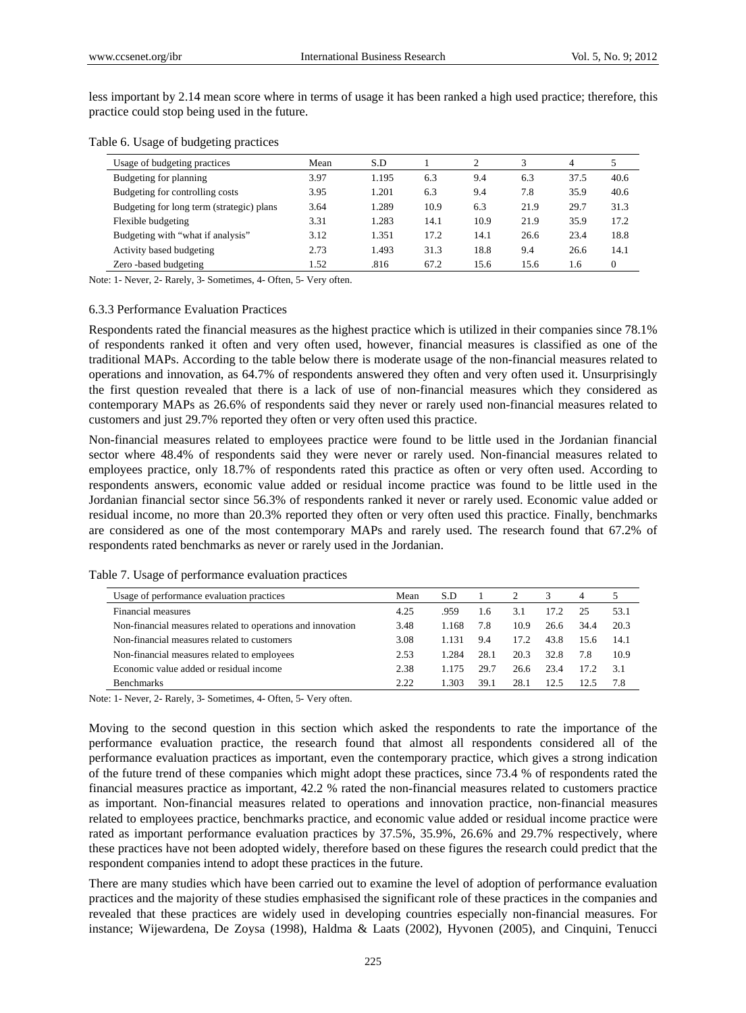less important by 2.14 mean score where in terms of usage it has been ranked a high used practice; therefore, this practice could stop being used in the future.

| Usage of budgeting practices              | Mean | S.D   |      |      |      | 4    |      |
|-------------------------------------------|------|-------|------|------|------|------|------|
| Budgeting for planning                    | 3.97 | 1.195 | 6.3  | 9.4  | 6.3  | 37.5 | 40.6 |
| Budgeting for controlling costs           | 3.95 | 1.201 | 6.3  | 9.4  | 7.8  | 35.9 | 40.6 |
| Budgeting for long term (strategic) plans | 3.64 | 1.289 | 10.9 | 6.3  | 21.9 | 29.7 | 31.3 |
| Flexible budgeting                        | 3.31 | 1.283 | 14.1 | 10.9 | 21.9 | 35.9 | 17.2 |
| Budgeting with "what if analysis"         | 3.12 | 1.351 | 17.2 | 14.1 | 26.6 | 23.4 | 18.8 |
| Activity based budgeting                  | 2.73 | 1.493 | 31.3 | 18.8 | 9.4  | 26.6 | 14.1 |
| Zero-based budgeting                      | 1.52 | .816  | 67.2 | 15.6 | 15.6 | 1.6  | 0    |

Note: 1- Never, 2- Rarely, 3- Sometimes, 4- Often, 5- Very often.

#### 6.3.3 Performance Evaluation Practices

Respondents rated the financial measures as the highest practice which is utilized in their companies since 78.1% of respondents ranked it often and very often used, however, financial measures is classified as one of the traditional MAPs. According to the table below there is moderate usage of the non-financial measures related to operations and innovation, as 64.7% of respondents answered they often and very often used it. Unsurprisingly the first question revealed that there is a lack of use of non-financial measures which they considered as contemporary MAPs as 26.6% of respondents said they never or rarely used non-financial measures related to customers and just 29.7% reported they often or very often used this practice.

Non-financial measures related to employees practice were found to be little used in the Jordanian financial sector where 48.4% of respondents said they were never or rarely used. Non-financial measures related to employees practice, only 18.7% of respondents rated this practice as often or very often used. According to respondents answers, economic value added or residual income practice was found to be little used in the Jordanian financial sector since 56.3% of respondents ranked it never or rarely used. Economic value added or residual income, no more than 20.3% reported they often or very often used this practice. Finally, benchmarks are considered as one of the most contemporary MAPs and rarely used. The research found that 67.2% of respondents rated benchmarks as never or rarely used in the Jordanian.

| Usage of performance evaluation practices                   | Mean | S.D   |      |       | 3    | 4    |      |
|-------------------------------------------------------------|------|-------|------|-------|------|------|------|
| Financial measures                                          | 4.25 | .959  | 1.6  | 3.1   | 17.2 | 25   | 53.1 |
| Non-financial measures related to operations and innovation | 3.48 | 1.168 | 7.8  | 10.9  | 26.6 | 34.4 | 20.3 |
| Non-financial measures related to customers                 | 3.08 | 1.131 | 9.4  | 17.2. | 43.8 | 15.6 | 14.1 |
| Non-financial measures related to employees                 | 2.53 | 1.284 | 28.1 | 20.3  | 32.8 | 7.8  | 10.9 |
| Economic value added or residual income                     | 2.38 | 1.175 | 29.7 | 26.6  | 23.4 | 17.2 | 3.1  |
| <b>Benchmarks</b>                                           | 2.22 | 1.303 | 39.1 | 28.1  | 12.5 |      | 7.8  |

Table 7. Usage of performance evaluation practices

Note: 1- Never, 2- Rarely, 3- Sometimes, 4- Often, 5- Very often.

Moving to the second question in this section which asked the respondents to rate the importance of the performance evaluation practice, the research found that almost all respondents considered all of the performance evaluation practices as important, even the contemporary practice, which gives a strong indication of the future trend of these companies which might adopt these practices, since 73.4 % of respondents rated the financial measures practice as important, 42.2 % rated the non-financial measures related to customers practice as important. Non-financial measures related to operations and innovation practice, non-financial measures related to employees practice, benchmarks practice, and economic value added or residual income practice were rated as important performance evaluation practices by 37.5%, 35.9%, 26.6% and 29.7% respectively, where these practices have not been adopted widely, therefore based on these figures the research could predict that the respondent companies intend to adopt these practices in the future.

There are many studies which have been carried out to examine the level of adoption of performance evaluation practices and the majority of these studies emphasised the significant role of these practices in the companies and revealed that these practices are widely used in developing countries especially non-financial measures. For instance; Wijewardena, De Zoysa (1998), Haldma & Laats (2002), Hyvonen (2005), and Cinquini, Tenucci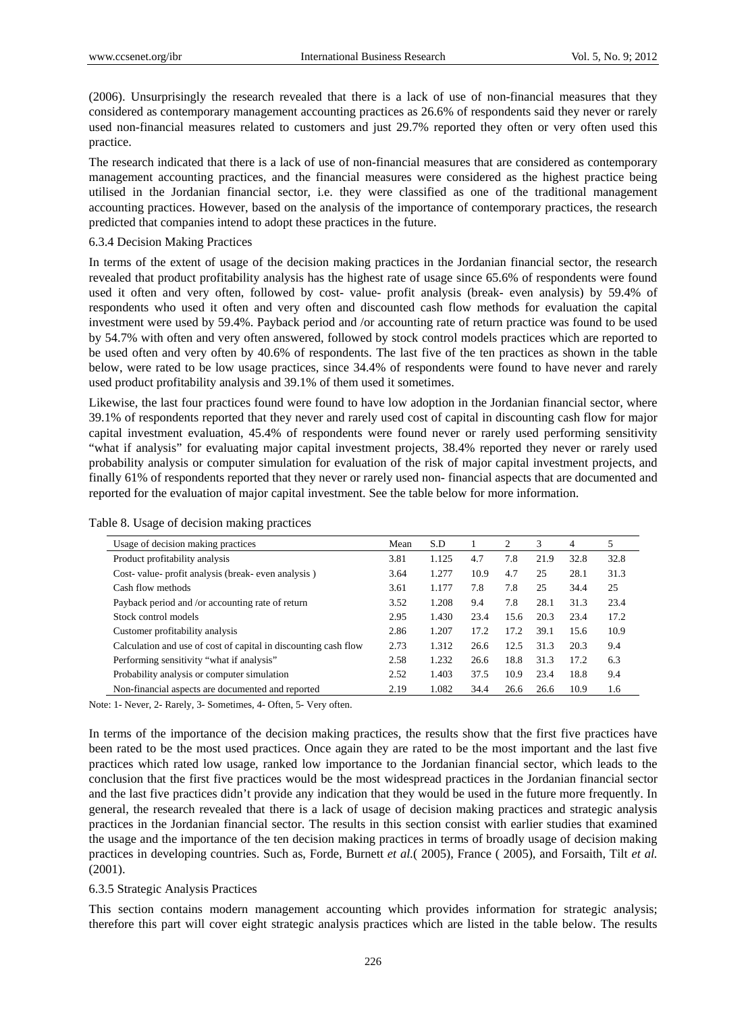(2006). Unsurprisingly the research revealed that there is a lack of use of non-financial measures that they considered as contemporary management accounting practices as 26.6% of respondents said they never or rarely used non-financial measures related to customers and just 29.7% reported they often or very often used this practice.

The research indicated that there is a lack of use of non-financial measures that are considered as contemporary management accounting practices, and the financial measures were considered as the highest practice being utilised in the Jordanian financial sector, i.e. they were classified as one of the traditional management accounting practices. However, based on the analysis of the importance of contemporary practices, the research predicted that companies intend to adopt these practices in the future.

## 6.3.4 Decision Making Practices

In terms of the extent of usage of the decision making practices in the Jordanian financial sector, the research revealed that product profitability analysis has the highest rate of usage since 65.6% of respondents were found used it often and very often, followed by cost- value- profit analysis (break- even analysis) by 59.4% of respondents who used it often and very often and discounted cash flow methods for evaluation the capital investment were used by 59.4%. Payback period and /or accounting rate of return practice was found to be used by 54.7% with often and very often answered, followed by stock control models practices which are reported to be used often and very often by 40.6% of respondents. The last five of the ten practices as shown in the table below, were rated to be low usage practices, since 34.4% of respondents were found to have never and rarely used product profitability analysis and 39.1% of them used it sometimes.

Likewise, the last four practices found were found to have low adoption in the Jordanian financial sector, where 39.1% of respondents reported that they never and rarely used cost of capital in discounting cash flow for major capital investment evaluation, 45.4% of respondents were found never or rarely used performing sensitivity "what if analysis" for evaluating major capital investment projects, 38.4% reported they never or rarely used probability analysis or computer simulation for evaluation of the risk of major capital investment projects, and finally 61% of respondents reported that they never or rarely used non- financial aspects that are documented and reported for the evaluation of major capital investment. See the table below for more information.

| Usage of decision making practices                              | Mean | S.D   |      | 2    | 3    | 4    | 5    |
|-----------------------------------------------------------------|------|-------|------|------|------|------|------|
| Product profitability analysis                                  | 3.81 | 1.125 | 4.7  | 7.8  | 21.9 | 32.8 | 32.8 |
| Cost-value-profit analysis (break-even analysis)                | 3.64 | 1.277 | 10.9 | 4.7  | 25   | 28.1 | 31.3 |
| Cash flow methods                                               | 3.61 | 1.177 | 7.8  | 7.8  | 25   | 34.4 | 25   |
| Payback period and /or accounting rate of return                | 3.52 | 1.208 | 9.4  | 7.8  | 28.1 | 31.3 | 23.4 |
| Stock control models                                            | 2.95 | 1.430 | 23.4 | 15.6 | 20.3 | 23.4 | 17.2 |
| Customer profitability analysis                                 | 2.86 | 1.207 | 17.2 | 17.2 | 39.1 | 15.6 | 10.9 |
| Calculation and use of cost of capital in discounting cash flow | 2.73 | 1.312 | 26.6 | 12.5 | 31.3 | 20.3 | 9.4  |
| Performing sensitivity "what if analysis"                       | 2.58 | 1.232 | 26.6 | 18.8 | 31.3 | 17.2 | 6.3  |
| Probability analysis or computer simulation                     | 2.52 | 1.403 | 37.5 | 10.9 | 23.4 | 18.8 | 9.4  |
| Non-financial aspects are documented and reported               | 2.19 | 1.082 | 34.4 | 26.6 | 26.6 | 10.9 | 1.6  |

Table 8. Usage of decision making practices

Note: 1- Never, 2- Rarely, 3- Sometimes, 4- Often, 5- Very often.

In terms of the importance of the decision making practices, the results show that the first five practices have been rated to be the most used practices. Once again they are rated to be the most important and the last five practices which rated low usage, ranked low importance to the Jordanian financial sector, which leads to the conclusion that the first five practices would be the most widespread practices in the Jordanian financial sector and the last five practices didn't provide any indication that they would be used in the future more frequently. In general, the research revealed that there is a lack of usage of decision making practices and strategic analysis practices in the Jordanian financial sector. The results in this section consist with earlier studies that examined the usage and the importance of the ten decision making practices in terms of broadly usage of decision making practices in developing countries. Such as, Forde, Burnett *et al.*( 2005), France ( 2005), and Forsaith, Tilt *et al.* (2001).

## 6.3.5 Strategic Analysis Practices

This section contains modern management accounting which provides information for strategic analysis; therefore this part will cover eight strategic analysis practices which are listed in the table below. The results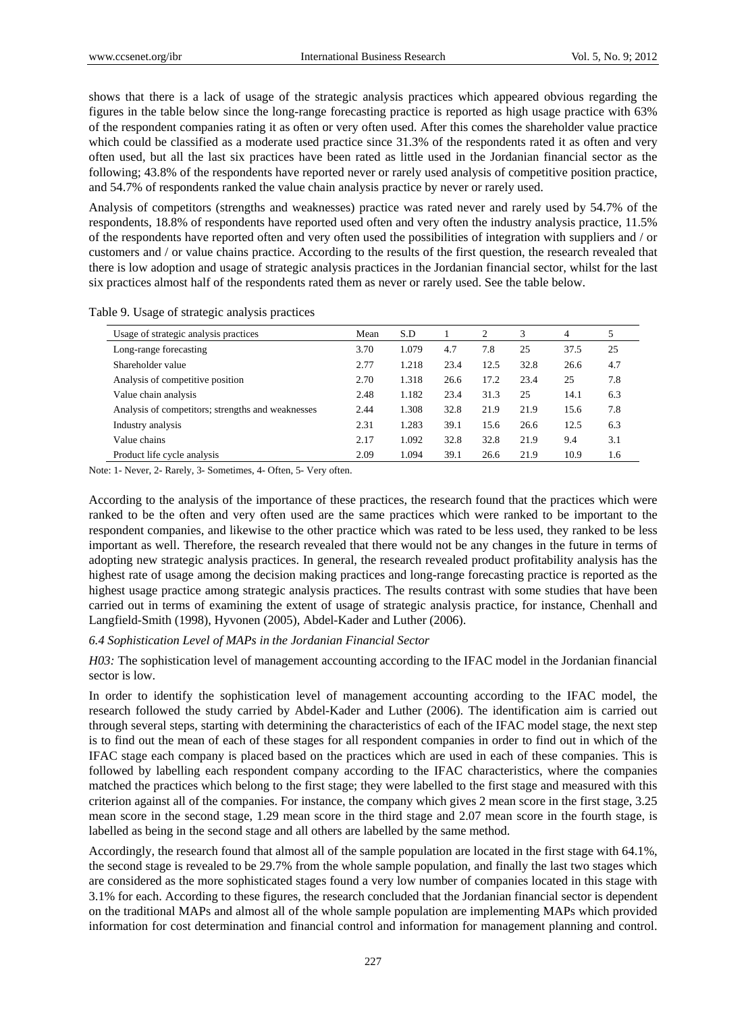shows that there is a lack of usage of the strategic analysis practices which appeared obvious regarding the figures in the table below since the long-range forecasting practice is reported as high usage practice with 63% of the respondent companies rating it as often or very often used. After this comes the shareholder value practice which could be classified as a moderate used practice since 31.3% of the respondents rated it as often and very often used, but all the last six practices have been rated as little used in the Jordanian financial sector as the following; 43.8% of the respondents have reported never or rarely used analysis of competitive position practice, and 54.7% of respondents ranked the value chain analysis practice by never or rarely used.

Analysis of competitors (strengths and weaknesses) practice was rated never and rarely used by 54.7% of the respondents, 18.8% of respondents have reported used often and very often the industry analysis practice, 11.5% of the respondents have reported often and very often used the possibilities of integration with suppliers and / or customers and / or value chains practice. According to the results of the first question, the research revealed that there is low adoption and usage of strategic analysis practices in the Jordanian financial sector, whilst for the last six practices almost half of the respondents rated them as never or rarely used. See the table below.

| Usage of strategic analysis practices             | Mean | S.D   |      | 2    | 3    | 4    | 5   |
|---------------------------------------------------|------|-------|------|------|------|------|-----|
| Long-range forecasting                            | 3.70 | 1.079 | 4.7  | 7.8  | 25   | 37.5 | 25  |
| Shareholder value                                 | 2.77 | 1.218 | 23.4 | 12.5 | 32.8 | 26.6 | 4.7 |
| Analysis of competitive position                  | 2.70 | 1.318 | 26.6 | 17.2 | 23.4 | 25   | 7.8 |
| Value chain analysis                              | 2.48 | 1.182 | 23.4 | 31.3 | 25   | 14.1 | 6.3 |
| Analysis of competitors; strengths and weaknesses | 2.44 | 1.308 | 32.8 | 21.9 | 21.9 | 15.6 | 7.8 |
| Industry analysis                                 | 2.31 | 1.283 | 39.1 | 15.6 | 26.6 | 12.5 | 6.3 |
| Value chains                                      | 2.17 | 1.092 | 32.8 | 32.8 | 21.9 | 9.4  | 3.1 |
| Product life cycle analysis                       | 2.09 | 1.094 | 39.1 | 26.6 | 21.9 | 10.9 | 1.6 |

Table 9. Usage of strategic analysis practices

Note: 1- Never, 2- Rarely, 3- Sometimes, 4- Often, 5- Very often.

According to the analysis of the importance of these practices, the research found that the practices which were ranked to be the often and very often used are the same practices which were ranked to be important to the respondent companies, and likewise to the other practice which was rated to be less used, they ranked to be less important as well. Therefore, the research revealed that there would not be any changes in the future in terms of adopting new strategic analysis practices. In general, the research revealed product profitability analysis has the highest rate of usage among the decision making practices and long-range forecasting practice is reported as the highest usage practice among strategic analysis practices. The results contrast with some studies that have been carried out in terms of examining the extent of usage of strategic analysis practice, for instance, Chenhall and Langfield-Smith (1998), Hyvonen (2005), Abdel-Kader and Luther (2006).

## *6.4 Sophistication Level of MAPs in the Jordanian Financial Sector*

*H03:* The sophistication level of management accounting according to the IFAC model in the Jordanian financial sector is low.

In order to identify the sophistication level of management accounting according to the IFAC model, the research followed the study carried by Abdel-Kader and Luther (2006). The identification aim is carried out through several steps, starting with determining the characteristics of each of the IFAC model stage, the next step is to find out the mean of each of these stages for all respondent companies in order to find out in which of the IFAC stage each company is placed based on the practices which are used in each of these companies. This is followed by labelling each respondent company according to the IFAC characteristics, where the companies matched the practices which belong to the first stage; they were labelled to the first stage and measured with this criterion against all of the companies. For instance, the company which gives 2 mean score in the first stage, 3.25 mean score in the second stage, 1.29 mean score in the third stage and 2.07 mean score in the fourth stage, is labelled as being in the second stage and all others are labelled by the same method.

Accordingly, the research found that almost all of the sample population are located in the first stage with 64.1%, the second stage is revealed to be 29.7% from the whole sample population, and finally the last two stages which are considered as the more sophisticated stages found a very low number of companies located in this stage with 3.1% for each. According to these figures, the research concluded that the Jordanian financial sector is dependent on the traditional MAPs and almost all of the whole sample population are implementing MAPs which provided information for cost determination and financial control and information for management planning and control.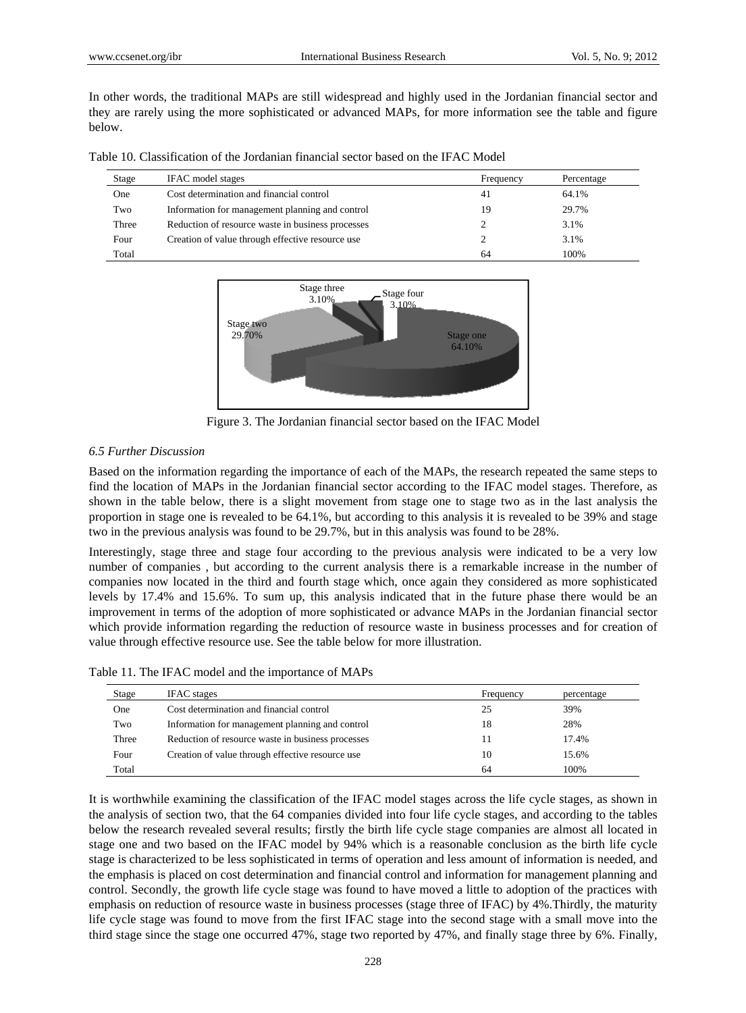In other words, the traditional MAPs are still widespread and highly used in the Jordanian financial sector and they are rarely using the more sophisticated or advanced MAPs, for more information see the table and figure below.

| Stage | <b>IFAC</b> model stages                          | Frequency | Percentage |
|-------|---------------------------------------------------|-----------|------------|
| One   | Cost determination and financial control          | 41        | 64.1%      |
| Two   | Information for management planning and control   | 19        | 29.7%      |
| Three | Reduction of resource waste in business processes |           | 3.1%       |
| Four  | Creation of value through effective resource use  |           | 3.1%       |
| Total |                                                   | 64        | 100%       |



Figure 3. The Jordanian financial sector based on the IFAC Model

# 6.5 Further Discussion

Based on the information regarding the importance of each of the MAPs, the research repeated the same steps to find the location of MAPs in the Jordanian financial sector according to the IFAC model stages. Therefore, as shown in the table below, there is a slight movement from stage one to stage two as in the last analysis the proportion in stage one is revealed to be 64.1%, but according to this analysis it is revealed to be 39% and stage two in the previous analysis was found to be 29.7%, but in this analysis was found to be 28%.

Interestingly, stage three and stage four according to the previous analysis were indicated to be a very low number of companies, but according to the current analysis there is a remarkable increase in the number of companies now located in the third and fourth stage which, once again they considered as more sophisticated levels by 17.4% and 15.6%. To sum up, this analysis indicated that in the future phase there would be an improvement in terms of the adoption of more sophisticated or advance MAPs in the Jordanian financial sector which provide information regarding the reduction of resource waste in business processes and for creation of value through effective resource use. See the table below for more illustration.

Table 11. The IFAC model and the importance of MAPs

| Stage | <b>IFAC</b> stages                                | Frequency | percentage |
|-------|---------------------------------------------------|-----------|------------|
| One   | Cost determination and financial control          | 25        | 39%        |
| Two   | Information for management planning and control   | 18        | 28%        |
| Three | Reduction of resource waste in business processes |           | 17.4%      |
| Four  | Creation of value through effective resource use  | 10        | 15.6%      |
| Total |                                                   | 64        | 100%       |

It is worthwhile examining the classification of the IFAC model stages across the life cycle stages, as shown in the analysis of section two, that the 64 companies divided into four life cycle stages, and according to the tables below the research revealed several results; firstly the birth life cycle stage companies are almost all located in stage one and two based on the IFAC model by 94% which is a reasonable conclusion as the birth life cycle stage is characterized to be less sophisticated in terms of operation and less amount of information is needed, and the emphasis is placed on cost determination and financial control and information for management planning and control. Secondly, the growth life cycle stage was found to have moved a little to adoption of the practices with emphasis on reduction of resource waste in business processes (stage three of IFAC) by 4%. Thirdly, the maturity life cycle stage was found to move from the first IFAC stage into the second stage with a small move into the third stage since the stage one occurred 47%, stage two reported by 47%, and finally stage three by 6%. Finally,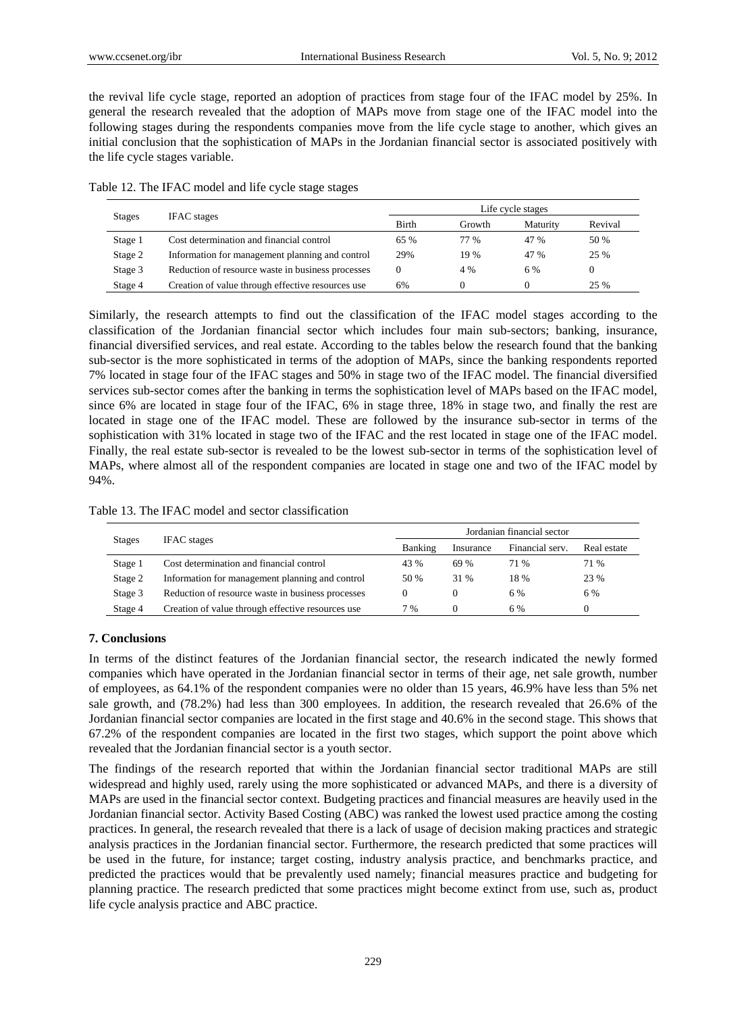the revival life cycle stage, reported an adoption of practices from stage four of the IFAC model by 25%. In general the research revealed that the adoption of MAPs move from stage one of the IFAC model into the following stages during the respondents companies move from the life cycle stage to another, which gives an initial conclusion that the sophistication of MAPs in the Jordanian financial sector is associated positively with the life cycle stages variable.

| <b>Stages</b> | <b>IFAC</b> stages                                | Life cycle stages |        |          |         |
|---------------|---------------------------------------------------|-------------------|--------|----------|---------|
|               |                                                   | <b>Birth</b>      | Growth | Maturity | Revival |
| Stage 1       | Cost determination and financial control          | 65 %              | 77 %   | 47 %     | 50 %    |
| Stage 2       | Information for management planning and control   | 29%               | 19 %   | 47 %     | 25 %    |
| Stage 3       | Reduction of resource waste in business processes |                   | 4 %    | 6 %      | 0       |
| Stage 4       | Creation of value through effective resources use | 6%                |        |          | 25 %    |

Table 12. The IFAC model and life cycle stage stages

Similarly, the research attempts to find out the classification of the IFAC model stages according to the classification of the Jordanian financial sector which includes four main sub-sectors; banking, insurance, financial diversified services, and real estate. According to the tables below the research found that the banking sub-sector is the more sophisticated in terms of the adoption of MAPs, since the banking respondents reported 7% located in stage four of the IFAC stages and 50% in stage two of the IFAC model. The financial diversified services sub-sector comes after the banking in terms the sophistication level of MAPs based on the IFAC model, since 6% are located in stage four of the IFAC, 6% in stage three, 18% in stage two, and finally the rest are located in stage one of the IFAC model. These are followed by the insurance sub-sector in terms of the sophistication with 31% located in stage two of the IFAC and the rest located in stage one of the IFAC model. Finally, the real estate sub-sector is revealed to be the lowest sub-sector in terms of the sophistication level of MAPs, where almost all of the respondent companies are located in stage one and two of the IFAC model by 94%.

| Table 13. The IFAC model and sector classification |
|----------------------------------------------------|
|                                                    |

| <b>Stages</b> | <b>IFAC</b> stages                                |         | Jordanian financial sector |                 |             |  |
|---------------|---------------------------------------------------|---------|----------------------------|-----------------|-------------|--|
|               |                                                   | Banking | Insurance                  | Financial serv. | Real estate |  |
| Stage 1       | Cost determination and financial control          | 43 %    | 69 %                       | 71 %            | 71 %        |  |
| Stage 2       | Information for management planning and control   | 50 %    | 31 %                       | 18 %            | 23 %        |  |
| Stage 3       | Reduction of resource waste in business processes |         |                            | 6 %             | 6 %         |  |
| Stage 4       | Creation of value through effective resources use | 7 %     |                            | 6 %             |             |  |

## **7. Conclusions**

In terms of the distinct features of the Jordanian financial sector, the research indicated the newly formed companies which have operated in the Jordanian financial sector in terms of their age, net sale growth, number of employees, as 64.1% of the respondent companies were no older than 15 years, 46.9% have less than 5% net sale growth, and (78.2%) had less than 300 employees. In addition, the research revealed that 26.6% of the Jordanian financial sector companies are located in the first stage and 40.6% in the second stage. This shows that 67.2% of the respondent companies are located in the first two stages, which support the point above which revealed that the Jordanian financial sector is a youth sector.

The findings of the research reported that within the Jordanian financial sector traditional MAPs are still widespread and highly used, rarely using the more sophisticated or advanced MAPs, and there is a diversity of MAPs are used in the financial sector context. Budgeting practices and financial measures are heavily used in the Jordanian financial sector. Activity Based Costing (ABC) was ranked the lowest used practice among the costing practices. In general, the research revealed that there is a lack of usage of decision making practices and strategic analysis practices in the Jordanian financial sector. Furthermore, the research predicted that some practices will be used in the future, for instance; target costing, industry analysis practice, and benchmarks practice, and predicted the practices would that be prevalently used namely; financial measures practice and budgeting for planning practice. The research predicted that some practices might become extinct from use, such as, product life cycle analysis practice and ABC practice.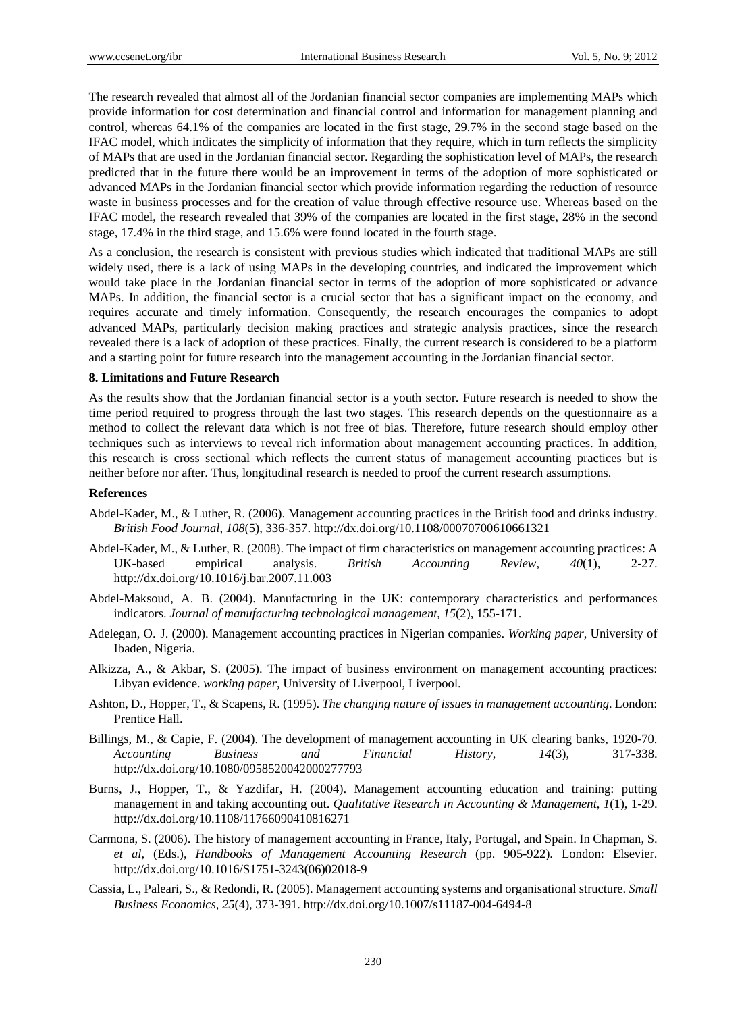The research revealed that almost all of the Jordanian financial sector companies are implementing MAPs which provide information for cost determination and financial control and information for management planning and control, whereas 64.1% of the companies are located in the first stage, 29.7% in the second stage based on the IFAC model, which indicates the simplicity of information that they require, which in turn reflects the simplicity of MAPs that are used in the Jordanian financial sector. Regarding the sophistication level of MAPs, the research predicted that in the future there would be an improvement in terms of the adoption of more sophisticated or advanced MAPs in the Jordanian financial sector which provide information regarding the reduction of resource waste in business processes and for the creation of value through effective resource use. Whereas based on the IFAC model, the research revealed that 39% of the companies are located in the first stage, 28% in the second stage, 17.4% in the third stage, and 15.6% were found located in the fourth stage.

As a conclusion, the research is consistent with previous studies which indicated that traditional MAPs are still widely used, there is a lack of using MAPs in the developing countries, and indicated the improvement which would take place in the Jordanian financial sector in terms of the adoption of more sophisticated or advance MAPs. In addition, the financial sector is a crucial sector that has a significant impact on the economy, and requires accurate and timely information. Consequently, the research encourages the companies to adopt advanced MAPs, particularly decision making practices and strategic analysis practices, since the research revealed there is a lack of adoption of these practices. Finally, the current research is considered to be a platform and a starting point for future research into the management accounting in the Jordanian financial sector.

#### **8. Limitations and Future Research**

As the results show that the Jordanian financial sector is a youth sector. Future research is needed to show the time period required to progress through the last two stages. This research depends on the questionnaire as a method to collect the relevant data which is not free of bias. Therefore, future research should employ other techniques such as interviews to reveal rich information about management accounting practices. In addition, this research is cross sectional which reflects the current status of management accounting practices but is neither before nor after. Thus, longitudinal research is needed to proof the current research assumptions.

## **References**

- Abdel-Kader, M., & Luther, R. (2006). Management accounting practices in the British food and drinks industry. *British Food Journal*, *108*(5), 336-357. http://dx.doi.org/10.1108/00070700610661321
- Abdel-Kader, M., & Luther, R. (2008). The impact of firm characteristics on management accounting practices: A UK-based empirical analysis. *British Accounting Review*, *40*(1), 2-27. http://dx.doi.org/10.1016/j.bar.2007.11.003
- Abdel-Maksoud, A. B. (2004). Manufacturing in the UK: contemporary characteristics and performances indicators. *Journal of manufacturing technological management*, *15*(2), 155-171.
- Adelegan, O. J. (2000). Management accounting practices in Nigerian companies. *Working paper*, University of Ibaden, Nigeria.
- Alkizza, A., & Akbar, S. (2005). The impact of business environment on management accounting practices: Libyan evidence. *working paper*, University of Liverpool, Liverpool.
- Ashton, D., Hopper, T., & Scapens, R. (1995). *The changing nature of issues in management accounting*. London: Prentice Hall.
- Billings, M., & Capie, F. (2004). The development of management accounting in UK clearing banks, 1920-70. *Accounting Business and Financial History*, *14*(3), 317-338. http://dx.doi.org/10.1080/0958520042000277793
- Burns, J., Hopper, T., & Yazdifar, H. (2004). Management accounting education and training: putting management in and taking accounting out. *Qualitative Research in Accounting & Management*, *1*(1), 1-29. http://dx.doi.org/10.1108/11766090410816271
- Carmona, S. (2006). The history of management accounting in France, Italy, Portugal, and Spain. In Chapman, S. *et al,* (Eds.), *Handbooks of Management Accounting Research* (pp. 905-922). London: Elsevier. http://dx.doi.org/10.1016/S1751-3243(06)02018-9
- Cassia, L., Paleari, S., & Redondi, R. (2005). Management accounting systems and organisational structure. *Small Business Economics*, *25*(4), 373-391. http://dx.doi.org/10.1007/s11187-004-6494-8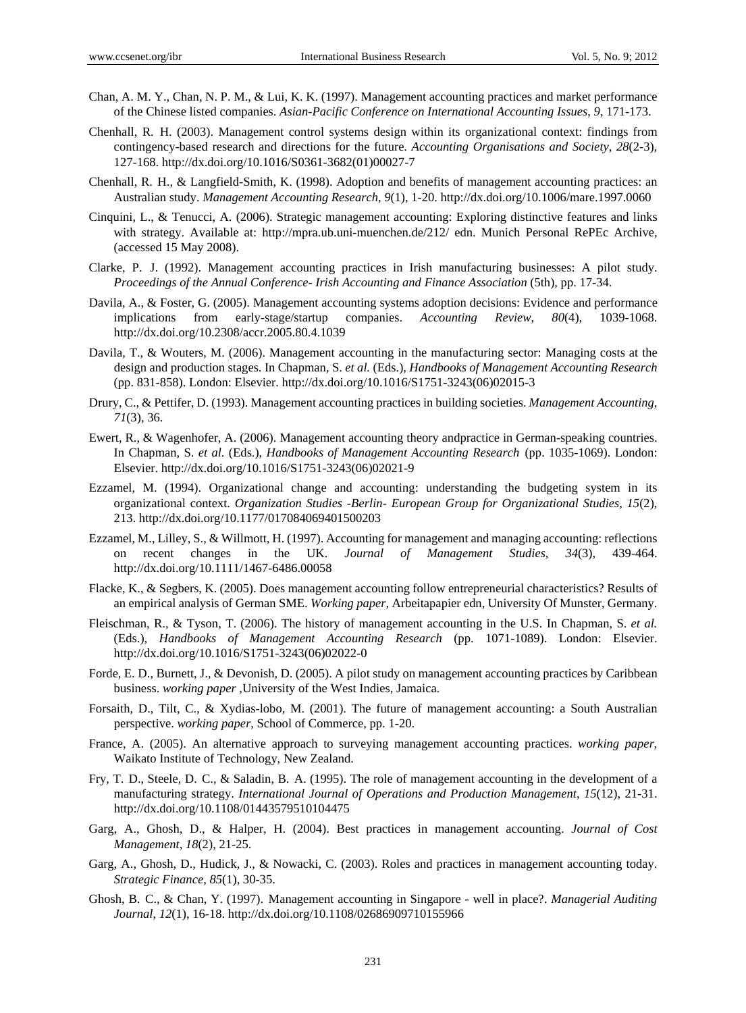- Chan, A. M. Y., Chan, N. P. M., & Lui, K. K. (1997). Management accounting practices and market performance of the Chinese listed companies. *Asian-Pacific Conference on International Accounting Issues*, *9*, 171-173.
- Chenhall, R. H. (2003). Management control systems design within its organizational context: findings from contingency-based research and directions for the future. *Accounting Organisations and Society*, *28*(2-3), 127-168. http://dx.doi.org/10.1016/S0361-3682(01)00027-7
- Chenhall, R. H., & Langfield-Smith, K. (1998). Adoption and benefits of management accounting practices: an Australian study. *Management Accounting Research*, *9*(1), 1-20. http://dx.doi.org/10.1006/mare.1997.0060
- Cinquini, L., & Tenucci, A. (2006). Strategic management accounting: Exploring distinctive features and links with strategy. Available at: http://mpra.ub.uni-muenchen.de/212/ edn. Munich Personal RePEc Archive, (accessed 15 May 2008).
- Clarke, P. J. (1992). Management accounting practices in Irish manufacturing businesses: A pilot study. *Proceedings of the Annual Conference- Irish Accounting and Finance Association* (5th), pp. 17-34.
- Davila, A., & Foster, G. (2005). Management accounting systems adoption decisions: Evidence and performance implications from early-stage/startup companies. *Accounting Review*, *80*(4), 1039-1068. http://dx.doi.org/10.2308/accr.2005.80.4.1039
- Davila, T., & Wouters, M. (2006). Management accounting in the manufacturing sector: Managing costs at the design and production stages. In Chapman, S. *et al.* (Eds.), *Handbooks of Management Accounting Research* (pp. 831-858). London: Elsevier. http://dx.doi.org/10.1016/S1751-3243(06)02015-3
- Drury, C., & Pettifer, D. (1993). Management accounting practices in building societies. *Management Accounting*, *71*(3), 36.
- Ewert, R., & Wagenhofer, A. (2006). Management accounting theory andpractice in German-speaking countries. In Chapman, S. *et al.* (Eds.), *Handbooks of Management Accounting Research* (pp. 1035-1069). London: Elsevier. http://dx.doi.org/10.1016/S1751-3243(06)02021-9
- Ezzamel, M. (1994). Organizational change and accounting: understanding the budgeting system in its organizational context. *Organization Studies -Berlin- European Group for Organizational Studies*, *15*(2), 213. http://dx.doi.org/10.1177/017084069401500203
- Ezzamel, M., Lilley, S., & Willmott, H. (1997). Accounting for management and managing accounting: reflections on recent changes in the UK. *Journal of Management Studies, 34*(3), 439-464. http://dx.doi.org/10.1111/1467-6486.00058
- Flacke, K., & Segbers, K. (2005). Does management accounting follow entrepreneurial characteristics? Results of an empirical analysis of German SME. *Working paper*, Arbeitapapier edn, University Of Munster, Germany.
- Fleischman, R., & Tyson, T. (2006). The history of management accounting in the U.S. In Chapman, S. *et al.* (Eds.), *Handbooks of Management Accounting Research* (pp. 1071-1089). London: Elsevier. http://dx.doi.org/10.1016/S1751-3243(06)02022-0
- Forde, E. D., Burnett, J., & Devonish, D. (2005). A pilot study on management accounting practices by Caribbean business. *working paper* ,University of the West Indies, Jamaica.
- Forsaith, D., Tilt, C., & Xydias-lobo, M. (2001). The future of management accounting: a South Australian perspective. *working paper*, School of Commerce, pp. 1-20.
- France, A. (2005). An alternative approach to surveying management accounting practices. *working paper*, Waikato Institute of Technology, New Zealand.
- Fry, T. D., Steele, D. C., & Saladin, B. A. (1995). The role of management accounting in the development of a manufacturing strategy. *International Journal of Operations and Production Management*, *15*(12), 21-31. http://dx.doi.org/10.1108/01443579510104475
- Garg, A., Ghosh, D., & Halper, H. (2004). Best practices in management accounting. *Journal of Cost Management*, *18*(2), 21-25.
- Garg, A., Ghosh, D., Hudick, J., & Nowacki, C. (2003). Roles and practices in management accounting today. *Strategic Finance*, *85*(1), 30-35.
- Ghosh, B. C., & Chan, Y. (1997). Management accounting in Singapore well in place?. *Managerial Auditing Journal*, *12*(1), 16-18. http://dx.doi.org/10.1108/02686909710155966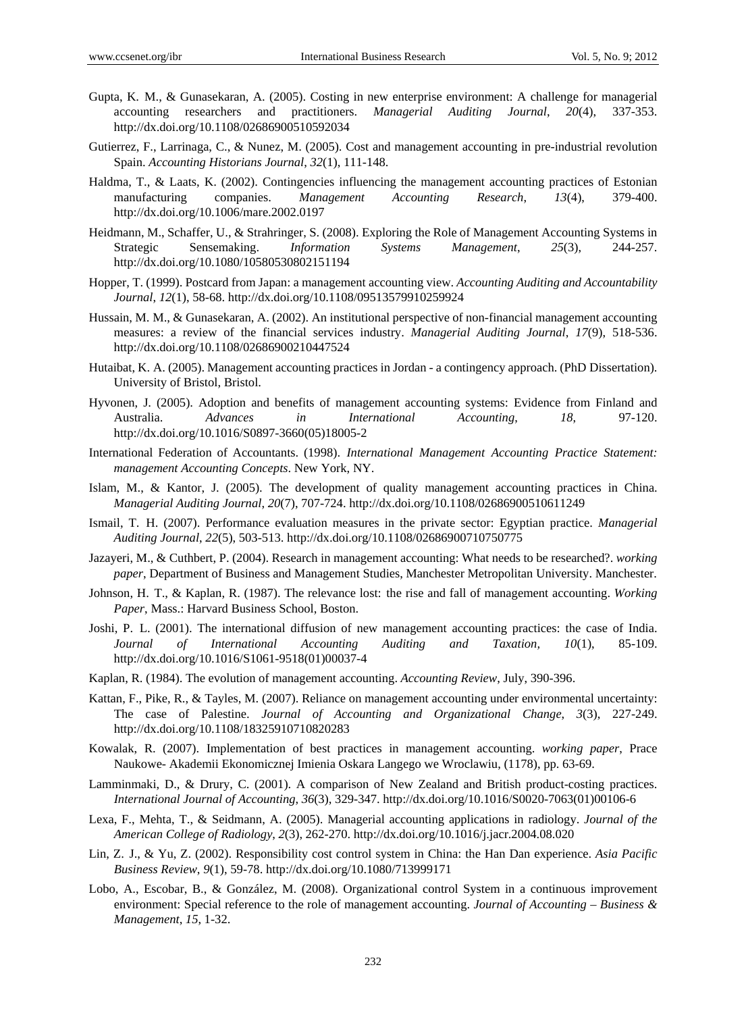- Gupta, K. M., & Gunasekaran, A. (2005). Costing in new enterprise environment: A challenge for managerial accounting researchers and practitioners. *Managerial Auditing Journal*, *20*(4), 337-353. http://dx.doi.org/10.1108/02686900510592034
- Gutierrez, F., Larrinaga, C., & Nunez, M. (2005). Cost and management accounting in pre-industrial revolution Spain. *Accounting Historians Journal*, *32*(1), 111-148.
- Haldma, T., & Laats, K. (2002). Contingencies influencing the management accounting practices of Estonian manufacturing companies. *Management Accounting Research*, *13*(4), 379-400. http://dx.doi.org/10.1006/mare.2002.0197
- Heidmann, M., Schaffer, U., & Strahringer, S. (2008). Exploring the Role of Management Accounting Systems in Strategic Sensemaking. *Information Systems Management*, *25*(3), 244-257. http://dx.doi.org/10.1080/10580530802151194
- Hopper, T. (1999). Postcard from Japan: a management accounting view. *Accounting Auditing and Accountability Journal*, *12*(1), 58-68. http://dx.doi.org/10.1108/09513579910259924
- Hussain, M. M., & Gunasekaran, A. (2002). An institutional perspective of non-financial management accounting measures: a review of the financial services industry. *Managerial Auditing Journal*, *17*(9), 518-536. http://dx.doi.org/10.1108/02686900210447524
- Hutaibat, K. A. (2005). Management accounting practices in Jordan a contingency approach. (PhD Dissertation). University of Bristol, Bristol.
- Hyvonen, J. (2005). Adoption and benefits of management accounting systems: Evidence from Finland and Australia. *Advances in International Accounting*, *18*, 97-120. http://dx.doi.org/10.1016/S0897-3660(05)18005-2
- International Federation of Accountants. (1998). *International Management Accounting Practice Statement: management Accounting Concepts*. New York, NY.
- Islam, M., & Kantor, J. (2005). The development of quality management accounting practices in China. *Managerial Auditing Journal*, *20*(7), 707-724. http://dx.doi.org/10.1108/02686900510611249
- Ismail, T. H. (2007). Performance evaluation measures in the private sector: Egyptian practice. *Managerial Auditing Journal*, *22*(5), 503-513. http://dx.doi.org/10.1108/02686900710750775
- Jazayeri, M., & Cuthbert, P. (2004). Research in management accounting: What needs to be researched?. *working paper*, Department of Business and Management Studies, Manchester Metropolitan University. Manchester.
- Johnson, H. T., & Kaplan, R. (1987). The relevance lost: the rise and fall of management accounting. *Working Paper*, Mass.: Harvard Business School, Boston.
- Joshi, P. L. (2001). The international diffusion of new management accounting practices: the case of India. *Journal of International Accounting Auditing and Taxation, 10*(1), 85-109. http://dx.doi.org/10.1016/S1061-9518(01)00037-4
- Kaplan, R. (1984). The evolution of management accounting. *Accounting Review*, July, 390-396.
- Kattan, F., Pike, R., & Tayles, M. (2007). Reliance on management accounting under environmental uncertainty: The case of Palestine. *Journal of Accounting and Organizational Change*, *3*(3), 227-249. http://dx.doi.org/10.1108/18325910710820283
- Kowalak, R. (2007). Implementation of best practices in management accounting. *working paper*, Prace Naukowe- Akademii Ekonomicznej Imienia Oskara Langego we Wroclawiu, (1178), pp. 63-69.
- Lamminmaki, D., & Drury, C. (2001). A comparison of New Zealand and British product-costing practices. *International Journal of Accounting*, *36*(3), 329-347. http://dx.doi.org/10.1016/S0020-7063(01)00106-6
- Lexa, F., Mehta, T., & Seidmann, A. (2005). Managerial accounting applications in radiology. *Journal of the American College of Radiology*, *2*(3), 262-270. http://dx.doi.org/10.1016/j.jacr.2004.08.020
- Lin, Z. J., & Yu, Z. (2002). Responsibility cost control system in China: the Han Dan experience. *Asia Pacific Business Review*, *9*(1), 59-78. http://dx.doi.org/10.1080/713999171
- Lobo, A., Escobar, B., & González, M. (2008). Organizational control System in a continuous improvement environment: Special reference to the role of management accounting. *Journal of Accounting – Business & Management*, *15*, 1-32.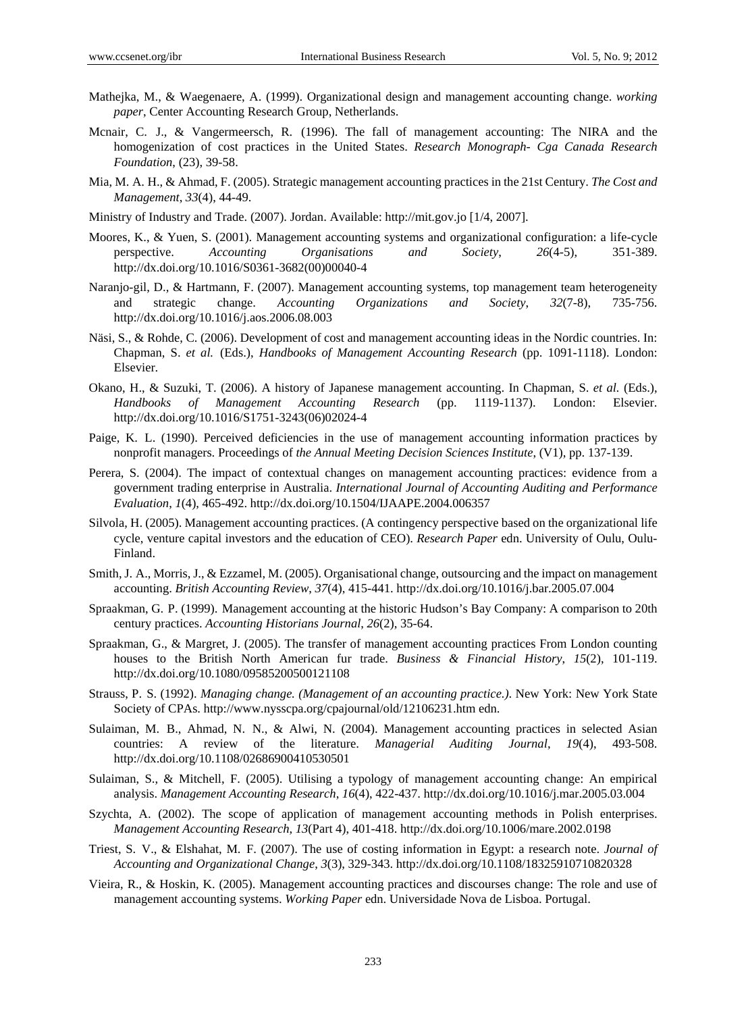- Mathejka, M., & Waegenaere, A. (1999). Organizational design and management accounting change. *working paper*, Center Accounting Research Group, Netherlands.
- Mcnair, C. J., & Vangermeersch, R. (1996). The fall of management accounting: The NIRA and the homogenization of cost practices in the United States. *Research Monograph- Cga Canada Research Foundation*, (23), 39-58.
- Mia, M. A. H., & Ahmad, F. (2005). Strategic management accounting practices in the 21st Century. *The Cost and Management*, *33*(4), 44-49.
- Ministry of Industry and Trade. (2007). Jordan. Available: http://mit.gov.jo [1/4, 2007].
- Moores, K., & Yuen, S. (2001). Management accounting systems and organizational configuration: a life-cycle perspective. *Accounting Organisations and Society*, *26*(4-5), 351-389. http://dx.doi.org/10.1016/S0361-3682(00)00040-4
- Naranjo-gil, D., & Hartmann, F. (2007). Management accounting systems, top management team heterogeneity and strategic change. *Accounting Organizations and Society*, *32*(7-8), 735-756. http://dx.doi.org/10.1016/j.aos.2006.08.003
- Näsi, S., & Rohde, C. (2006). Development of cost and management accounting ideas in the Nordic countries. In: Chapman, S. *et al.* (Eds.), *Handbooks of Management Accounting Research* (pp. 1091-1118). London: Elsevier.
- Okano, H., & Suzuki, T. (2006). A history of Japanese management accounting. In Chapman, S. *et al.* (Eds.), *Handbooks of Management Accounting Research* (pp. 1119-1137). London: Elsevier. http://dx.doi.org/10.1016/S1751-3243(06)02024-4
- Paige, K. L. (1990). Perceived deficiencies in the use of management accounting information practices by nonprofit managers. Proceedings of *the Annual Meeting Decision Sciences Institute*, (V1), pp. 137-139.
- Perera, S. (2004). The impact of contextual changes on management accounting practices: evidence from a government trading enterprise in Australia. *International Journal of Accounting Auditing and Performance Evaluation*, *1*(4), 465-492. http://dx.doi.org/10.1504/IJAAPE.2004.006357
- Silvola, H. (2005). Management accounting practices. (A contingency perspective based on the organizational life cycle, venture capital investors and the education of CEO). *Research Paper* edn. University of Oulu, Oulu-Finland.
- Smith, J. A., Morris, J., & Ezzamel, M. (2005). Organisational change, outsourcing and the impact on management accounting. *British Accounting Review*, *37*(4), 415-441. http://dx.doi.org/10.1016/j.bar.2005.07.004
- Spraakman, G. P. (1999). Management accounting at the historic Hudson's Bay Company: A comparison to 20th century practices. *Accounting Historians Journal*, *26*(2), 35-64.
- Spraakman, G., & Margret, J. (2005). The transfer of management accounting practices From London counting houses to the British North American fur trade. *Business & Financial History*, *15*(2), 101-119. http://dx.doi.org/10.1080/09585200500121108
- Strauss, P. S. (1992). *Managing change. (Management of an accounting practice.)*. New York: New York State Society of CPAs. http://www.nysscpa.org/cpajournal/old/12106231.htm edn.
- Sulaiman, M. B., Ahmad, N. N., & Alwi, N. (2004). Management accounting practices in selected Asian countries: A review of the literature. *Managerial Auditing Journal*, *19*(4), 493-508. http://dx.doi.org/10.1108/02686900410530501
- Sulaiman, S., & Mitchell, F. (2005). Utilising a typology of management accounting change: An empirical analysis. *Management Accounting Research*, *16*(4), 422-437. http://dx.doi.org/10.1016/j.mar.2005.03.004
- Szychta, A. (2002). The scope of application of management accounting methods in Polish enterprises. *Management Accounting Research*, *13*(Part 4), 401-418. http://dx.doi.org/10.1006/mare.2002.0198
- Triest, S. V., & Elshahat, M. F. (2007). The use of costing information in Egypt: a research note. *Journal of Accounting and Organizational Change*, *3*(3), 329-343. http://dx.doi.org/10.1108/18325910710820328
- Vieira, R., & Hoskin, K. (2005). Management accounting practices and discourses change: The role and use of management accounting systems. *Working Paper* edn. Universidade Nova de Lisboa. Portugal.